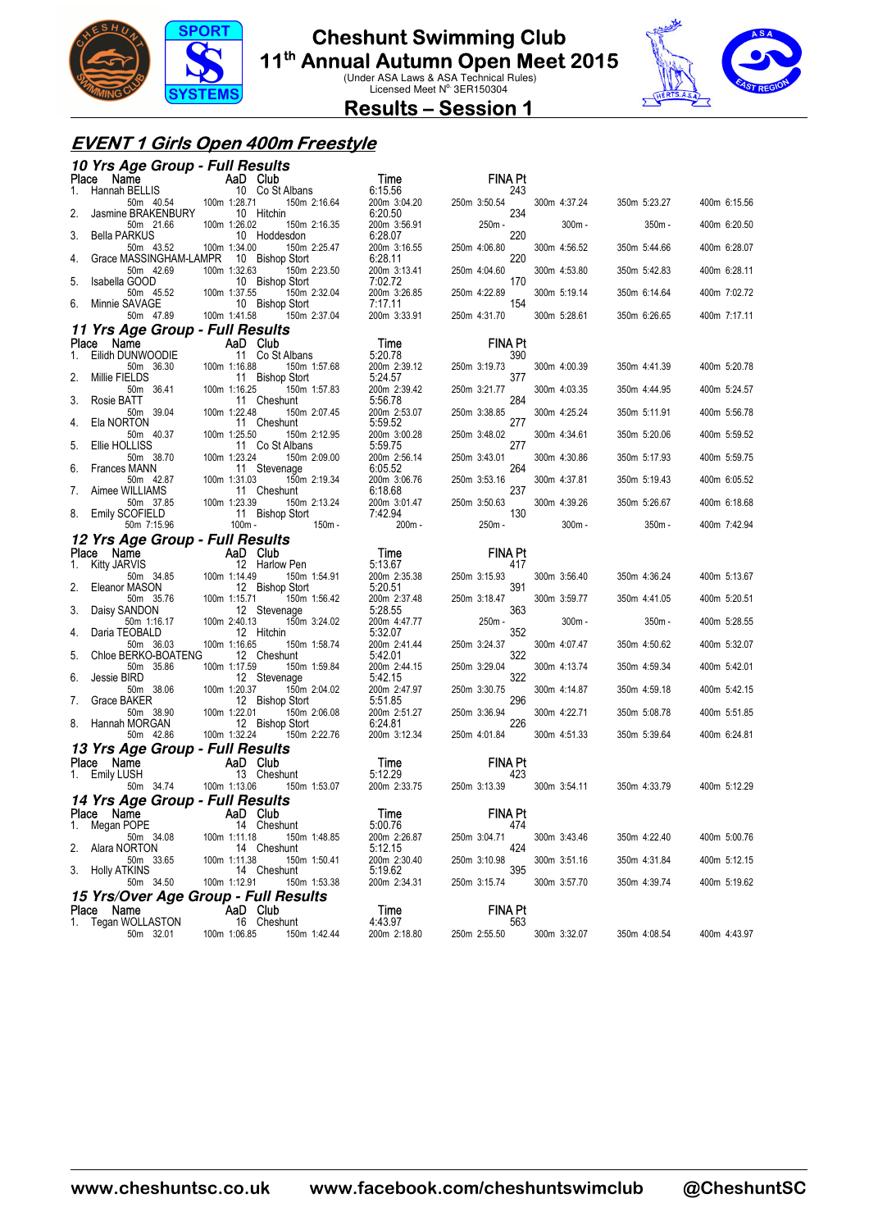

### **Cheshunt Swimming Club**

**11<sup>th</sup> Annual Autumn Open Meet 2015**<br>Under ASA Laws & ASA Technical Rules)<br>Licensed Meet N<sup>o.</sup> 3ER150304



#### **Results – Session 1**

#### **EVENT 1 Girls Open 400m Freestyle**

|             | 10 Yrs Age Group - Full Results                                                    |                                                 |                         |                       |              |              |              |
|-------------|------------------------------------------------------------------------------------|-------------------------------------------------|-------------------------|-----------------------|--------------|--------------|--------------|
| Place       | Name<br><b>The Map (BELLIS 10 (BELLIS 10 (60 128.71)</b><br>50m 40.54 100m 1:28.71 | AaD Club                                        | Time                    | <b>FINA Pt</b>        |              |              |              |
| 1.          | Hannah BELLIS                                                                      | 10 Co St Albans<br>150m 2:16.64                 | 6:15.56<br>200m 3:04.20 | 243<br>250m 3:50.54   | 300m 4:37.24 | 350m 5:23.27 | 400m 6:15.56 |
| 2.          | Jasmine BRAKENBURY                                                                 | 10 Hitchin                                      | 6:20.50                 | 234                   |              |              |              |
| 3.          | 50m 21.66<br><b>Bella PARKUS</b>                                                   | 100m 1:26.02<br>150m 2:16.35<br>10 Hoddesdon    | 200m 3:56.91<br>6:28.07 | 250m -<br>220         | 300m-        | 350m -       | 400m 6:20.50 |
|             | 50m 43.52                                                                          | 100m 1:34.00<br>150m 2:25.47                    | 200m 3:16.55            | 250m 4:06.80          | 300m 4:56.52 | 350m 5:44.66 | 400m 6:28.07 |
| 4.          | Grace MASSINGHAM-LAMPR<br>50m 42.69                                                | 10 Bishop Stort<br>100m 1:32.63<br>150m 2:23.50 | 6:28.11<br>200m 3:13.41 | 220<br>250m 4:04.60   | 300m 4:53.80 | 350m 5:42.83 | 400m 6:28.11 |
| 5.          | Isabella GOOD                                                                      | 10 Bishop Stort                                 | 7:02.72                 | 170                   |              |              |              |
| 6.          | 50m 45.52<br>Minnie SAVAGE                                                         | 100m 1:37.55<br>150m 2:32.04<br>10 Bishop Stort | 200m 3:26.85<br>7:17.11 | 250m 4:22.89<br>154   | 300m 5:19.14 | 350m 6:14.64 | 400m 7:02.72 |
|             | 50m 47.89                                                                          | 100m 1:41.58<br>150m 2:37.04                    | 200m 3:33.91            | 250m 4:31.70          | 300m 5:28.61 | 350m 6:26.65 | 400m 7:17.11 |
|             | 11 Yrs Age Group - Full Results                                                    |                                                 |                         |                       |              |              |              |
| Place<br>1. | Name<br>Eilidh DUNWOODIE                                                           | AaD Club<br>11 Co St Albans                     | Time<br>5:20.78         | <b>FINA Pt</b><br>390 |              |              |              |
|             | 50m 36.30                                                                          | 100m 1:16.88<br>150m 1:57.68                    | 200m 2:39.12            | 250m 3:19.73          | 300m 4:00.39 | 350m 4:41.39 | 400m 5:20.78 |
| 2.          | Millie FIELDS<br>50m 36.41                                                         | 11 Bishop Stort<br>100m 1:16.25<br>150m 1:57.83 | 5:24.57<br>200m 2:39.42 | 377<br>250m 3:21.77   | 300m 4:03.35 | 350m 4:44.95 | 400m 5:24.57 |
| 3.          | Rosie BATT                                                                         | 11 Cheshunt                                     | 5:56.78                 | 284                   |              |              |              |
| 4.          | 50m 39.04<br>Ela NORTON                                                            | 100m 1:22.48<br>150m 2:07.45<br>11 Cheshunt     | 200m 2:53.07<br>5:59.52 | 250m 3:38.85<br>277   | 300m 4:25.24 | 350m 5:11.91 | 400m 5:56.78 |
|             | 50m 40.37                                                                          | 150m 2:12.95<br>100m 1:25.50                    | 200m 3:00.28            | 250m 3:48.02          | 300m 4:34.61 | 350m 5:20.06 | 400m 5:59.52 |
| 5.          | Ellie HOLLISS<br>50m 38.70                                                         | 11 Co St Albans<br>100m 1:23.24<br>150m 2:09.00 | 5:59.75<br>200m 2:56.14 | 277                   | 300m 4:30.86 | 350m 5:17.93 |              |
| 6.          | <b>Frances MANN</b>                                                                | 11 Stevenage                                    | 6:05.52                 | 250m 3:43.01<br>264   |              |              | 400m 5:59.75 |
| 7.          | 50m 42.87<br>Aimee WILLIAMS                                                        | 100m 1:31.03<br>150m 2:19.34<br>11 Cheshunt     | 200m 3:06.76<br>6:18.68 | 250m 3:53.16<br>237   | 300m 4:37.81 | 350m 5:19.43 | 400m 6:05.52 |
|             | 50m 37.85                                                                          | 100m 1:23.39<br>150m 2:13.24                    | 200m 3:01.47            | 250m 3:50.63          | 300m 4:39.26 | 350m 5:26.67 | 400m 6:18.68 |
| 8.          | Emily SCOFIELD<br>50m 7:15.96                                                      | 11 Bishop Stort<br>100m -<br>$150m -$           | 7:42.94<br>200m -       | 130<br>250m -         | $300m -$     | 350m -       | 400m 7:42.94 |
|             | 12 Yrs Age Group - Full Results                                                    |                                                 |                         |                       |              |              |              |
| Place       | Name                                                                               | AaD Club                                        | Time                    | FINA Pt               |              |              |              |
| 1.          | Kitty JARVIS<br>50m 34.85                                                          | 12 Harlow Pen<br>100m 1:14.49<br>150m 1:54.91   | 5:13.67<br>200m 2:35.38 | 417<br>250m 3:15.93   | 300m 3:56.40 | 350m 4:36.24 | 400m 5:13.67 |
| 2.          | Eleanor MASON                                                                      | 12 Bishop Stort                                 | 5:20.51                 | 391                   |              |              |              |
| 3.          | 50m 35.76<br>Daisy SANDON                                                          | 100m 1:15.71<br>150m 1:56.42<br>12 Stevenage    | 200m 2:37.48<br>5:28.55 | 250m 3:18.47<br>363   | 300m 3:59.77 | 350m 4:41.05 | 400m 5:20.51 |
|             | 50m 1:16.17                                                                        | 100m 2:40.13<br>150m 3:24.02                    | 200m 4:47.77            | 250m -                | $300m -$     | $350m -$     | 400m 5:28.55 |
| 4.          | Daria TEOBALD<br>50m 36.03                                                         | 12 Hitchin<br>100m 1:16.65<br>150m 1:58.74      | 5:32.07<br>200m 2:41.44 | 352<br>250m 3:24.37   | 300m 4:07.47 | 350m 4:50.62 | 400m 5:32.07 |
| 5.          | Chloe BERKO-BOATENG                                                                | 12 Cheshunt                                     | 5:42.01                 | 322                   |              |              |              |
| 6.          | 50m 35.86<br>Jessie BIRD                                                           | 100m 1:17.59<br>150m 1:59.84<br>12 Stevenage    | 200m 2:44.15<br>5:42.15 | 250m 3:29.04<br>322   | 300m 4:13.74 | 350m 4:59.34 | 400m 5:42.01 |
|             | 50m 38.06                                                                          | 150m 2:04.02<br>100m 1:20.37                    | 200m 2:47.97            | 250m 3:30.75          | 300m 4:14.87 | 350m 4:59.18 | 400m 5:42.15 |
| 7.          | Grace BAKER<br>50m 38.90                                                           | 12 Bishop Stort<br>100m 1:22.01<br>150m 2:06.08 | 5:51.85<br>200m 2:51.27 | 296<br>250m 3:36.94   | 300m 4:22.71 | 350m 5:08.78 | 400m 5:51.85 |
| 8.          | Hannah MORGAN                                                                      | 12 Bishop Stort                                 | 6:24.81                 | 226                   |              |              |              |
|             | 50m 42.86                                                                          | 100m 1:32.24<br>150m 2:22.76                    | 200m 3:12.34            | 250m 4:01.84          | 300m 4:51.33 | 350m 5:39.64 | 400m 6:24.81 |
| Place       | 13 Yrs Age Group - Full Results<br>Name                                            |                                                 | Time                    | FINA Pt               |              |              |              |
|             | 1. Emily LUSH                                                                      | AaD Club<br>13 Cheshunt                         | 5:12.29                 | 423                   |              |              |              |
|             | 50m 34.74                                                                          | 100m 1:13.06<br>150m 1:53.07                    | 200m 2:33.75            | 250m 3:13.39          | 300m 3:54.11 | 350m 4:33.79 | 400m 5:12.29 |
|             | 14 Yrs Age Group - Full Results<br>Place Name                                      | <b>AaD Club</b>                                 | Time                    | <b>FINA Pt</b>        |              |              |              |
| 1.          | Megan POPE                                                                         | 14 Cheshunt                                     | 5:00.76                 | 474                   |              |              |              |
| 2.          | 50m 34.08<br>Alara NORTON                                                          | 100m 1:11.18<br>150m 1:48.85<br>14 Cheshunt     | 200m 2:26.87<br>5:12.15 | 250m 3:04.71<br>424   | 300m 3:43.46 | 350m 4:22.40 | 400m 5:00.76 |
|             | 50m 33.65                                                                          | 100m 1:11.38<br>150m 1:50.41                    | 200m 2:30.40            | 250m 3:10.98          | 300m 3:51.16 | 350m 4:31.84 | 400m 5:12.15 |
|             | 3. Holly ATKINS<br>50m 34.50                                                       | 14 Cheshunt<br>100m 1:12.91<br>150m 1:53.38     | 5:19.62<br>200m 2:34.31 | 395<br>250m 3:15.74   | 300m 3:57.70 | 350m 4:39.74 | 400m 5:19.62 |
|             |                                                                                    | 15 Yrs/Over Age Group - Full Results            |                         |                       |              |              |              |
| Place       | Name<br>1. Tegan WOLLASTON                                                         | AaD Club<br>16 Cheshunt                         | Time<br>4:43.97         | FINA Pt<br>563        |              |              |              |
|             |                                                                                    |                                                 |                         |                       |              |              |              |
|             | 50m 32.01                                                                          | 100m 1:06.85<br>150m 1:42.44                    | 200m 2:18.80            | 250m 2:55.50          | 300m 3:32.07 | 350m 4:08.54 | 400m 4:43.97 |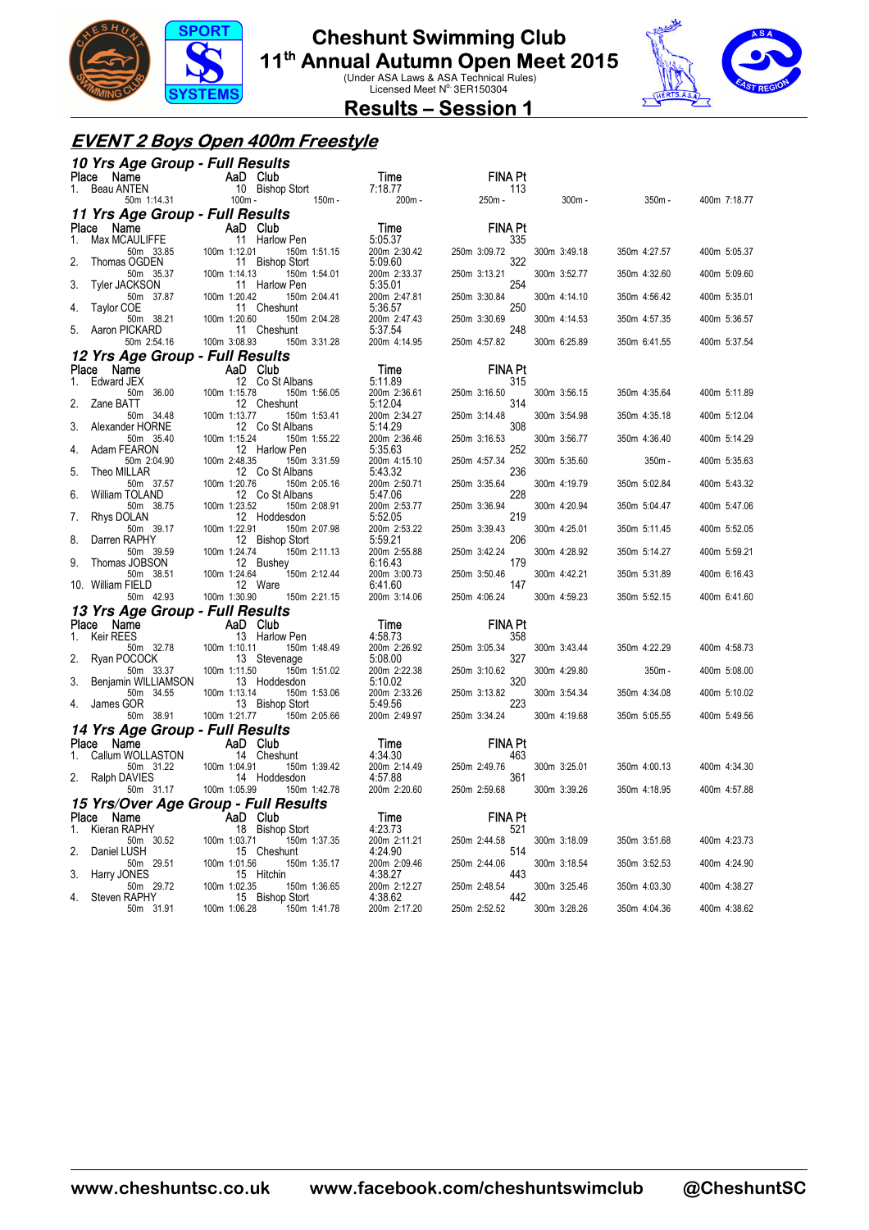

### **Cheshunt Swimming Club**

**11<sup>th</sup> Annual Autumn Open Meet 2015**<br>Under ASA Laws & ASA Technical Rules)<br>Licensed Meet N<sup>o.</sup> 3ER150304



#### **Results – Session 1**

#### **EVENT 2 Boys Open 400m Freestyle**

| 10 Yrs Age Group - Full Results                                                                                                                                                              |                                                                                      |                                                        |                     |              |              |              |
|----------------------------------------------------------------------------------------------------------------------------------------------------------------------------------------------|--------------------------------------------------------------------------------------|--------------------------------------------------------|---------------------|--------------|--------------|--------------|
|                                                                                                                                                                                              | Place Name AaD Club<br>1. Beau ANTEN 10 Bishop Stort<br>50m 1:14.31 100m 150m -      | <b>Time</b>                                            | <b>FINA Pt</b>      |              |              |              |
|                                                                                                                                                                                              |                                                                                      | 7:18.77<br>200m -                                      | 113<br>250m -       | 300m -       | $350m -$     | 400m 7:18.77 |
| 11 Yrs Age Group - Full Results                                                                                                                                                              |                                                                                      |                                                        |                     |              |              |              |
| Place Name                                                                                                                                                                                   |                                                                                      | Time                                                   | <b>FINA Pt</b>      |              |              |              |
| Ce Name<br>$\begin{array}{ccc}\n\text{Max MCAULIFFE} & \text{AaD} & \text{Club} \\ \text{Max MCAULIFFE} & 11 & \text{Harlov} \\ \text{Im} & 33.85 & 100 \text{m} 1:12.01\n\end{array}$<br>1. | $11$ Harlow Pen<br>150m 1:51.15                                                      | 5:05.37<br>200m 2:30.42                                | 335<br>250m 3:09.72 | 300m 3:49.18 | 350m 4:27.57 | 400m 5:05.37 |
| 2.<br>Thomas OGDEN                                                                                                                                                                           | 11 Bishop Stort                                                                      | 5:09.60                                                | 322                 |              |              |              |
| 50m 35.37<br>Tyler JACKSON                                                                                                                                                                   | 100m 1:14.13<br>150m 1:54.01<br>11 Harlow Pen                                        | 200m 2:33.37<br>5:35.01                                | 250m 3:13.21<br>254 | 300m 3:52.77 | 350m 4:32.60 | 400m 5:09.60 |
| 50m 37.87                                                                                                                                                                                    | 100m 1:20.42<br>150m 2:04.41                                                         | 200m 2:47.81                                           | 250m 3:30.84        | 300m 4:14.10 | 350m 4:56.42 | 400m 5:35.01 |
| Taylor COE<br>4.<br>50m 38.21                                                                                                                                                                | 11 Cheshunt<br>100m 1:20.60<br>150m 2:04.28                                          | 5:36.57<br>200m 2:47.43                                | 250<br>250m 3:30.69 | 300m 4:14.53 | 350m 4:57.35 | 400m 5:36.57 |
| 5.<br>Aaron PICKARD<br>50m 2:54.16                                                                                                                                                           | 11 Cheshunt<br>100m 3:08.93<br>150m 3:31.28                                          | 5:37.54<br>200m 4:14.95                                | 248<br>250m 4:57.82 | 300m 6:25.89 | 350m 6:41.55 | 400m 5:37.54 |
| 12 Yrs Age Group - Full Results                                                                                                                                                              |                                                                                      |                                                        |                     |              |              |              |
| Place Name                                                                                                                                                                                   | AaD Club                                                                             | <b>Time</b>                                            | <b>FINA Pt</b>      |              |              |              |
| 1. Edward JEX<br>50m 36.00                                                                                                                                                                   | 12 Co St Albans<br>100m 1:15.78<br>150m 1:56.05                                      | 5:11.89<br>200m 2:36.61                                | 315<br>250m 3:16.50 | 300m 3:56.15 | 350m 4:35.64 | 400m 5:11.89 |
| Zane BATT<br>2.                                                                                                                                                                              | 12 Cheshunt                                                                          | 5:12.04                                                | 314                 |              |              |              |
| 50m 34.48<br>3.<br>Alexander HORNE                                                                                                                                                           | 100m 1:13.77<br>150m 1:53.41<br>12 Co St Albans                                      | 200m 2:34.27<br>5:14.29                                | 250m 3:14.48<br>308 | 300m 3:54.98 | 350m 4:35.18 | 400m 5:12.04 |
| 50m 35.40<br>Adam FEARON                                                                                                                                                                     | 100m 1:15.24<br>150m 1:55.22                                                         | 200m 2:36.46<br>5:35.63                                | 250m 3:16.53<br>252 | 300m 3:56.77 | 350m 4:36.40 | 400m 5:14.29 |
| 4.<br>50m 2:04.90                                                                                                                                                                            | 12 Harlow Pen<br>100m 2:48.35<br>150m 3:31.59                                        | 200m 4:15.10                                           | 250m 4:57.34        | 300m 5:35.60 | $350m -$     | 400m 5:35.63 |
| 5.<br>Theo MILLAR<br>50m 37.57                                                                                                                                                               | 12 Co St Albans<br>100m 1:20.76<br>150m 2:05.16                                      | 5:43.32<br>200m 2:50.71                                | 236<br>250m 3:35.64 | 300m 4:19.79 | 350m 5:02.84 | 400m 5:43.32 |
| 6.<br>William TOLAND<br>50m 38.75                                                                                                                                                            | 12 Co St Albans<br>100m 1:23.52<br>150m 2:08.91                                      | 5:47.06<br>200m 2:53.77                                | 228<br>250m 3:36.94 | 300m 4:20.94 | 350m 5:04.47 | 400m 5:47.06 |
| Rhys DOLAN<br>7.                                                                                                                                                                             | 12 Hoddesdon                                                                         | 5:52.05                                                | 219                 |              |              |              |
| 50m 39.17<br>Darren RAPHY<br>8.                                                                                                                                                              | 100m 1:22.91<br>150m 2:07.98<br>12 Bishop Stort                                      | 200m 2:53.22<br>5:59.21                                | 250m 3:39.43<br>206 | 300m 4:25.01 | 350m 5:11.45 | 400m 5:52.05 |
| 50m 39.59<br>Thomas JOBSON<br>9.                                                                                                                                                             | 100m 1:24.74<br>150m 2:11.13<br>12 Bushey                                            | 200m 2:55.88<br>6:16.43                                | 250m 3:42.24<br>179 | 300m 4:28.92 | 350m 5:14.27 | 400m 5:59.21 |
| 50m 38.51<br>10. William FIELD                                                                                                                                                               | 100m 1:24.64<br>150m 2:12.44<br>12 Ware                                              | 200m 3:00.73<br>6:41.60                                | 250m 3:50.46<br>147 | 300m 4:42.21 | 350m 5:31.89 | 400m 6:16.43 |
| 50m 42.93                                                                                                                                                                                    | 100m 1:30.90<br>150m 2:21.15                                                         | 200m 3:14.06                                           | 250m 4:06.24        | 300m 4:59.23 | 350m 5:52.15 | 400m 6:41.60 |
| 13 Yrs Age Group - Full Results                                                                                                                                                              |                                                                                      | Time                                                   | <b>FINA Pt</b>      |              |              |              |
| <b>Place Name</b><br>1. Keir REES 13 Harlow Pen                                                                                                                                              |                                                                                      | 4:58.73                                                | 358                 |              |              |              |
| Ryan POCOCK                                                                                                                                                                                  | 150m 1:48.49<br>13 Stevenage                                                         | 200m 2:26.92<br>5:08.00                                | 250m 3:05.34<br>327 | 300m 3:43.44 | 350m 4:22.29 | 400m 4:58.73 |
| 50m 32.78 100m 1:10.11<br>DCOCK 13 S<br>50m 33.37 100m 1:11.50                                                                                                                               | 150m 1:51.02                                                                         | 200m 2:22.38                                           | 250m 3:10.62        | 300m 4:29.80 | $350m -$     | 400m 5:08.00 |
| Benjamin WILLIAMSON<br>50m 34.55                                                                                                                                                             | 13 Hoddesdon<br>100m 1:13.14<br>150m 1:53.06                                         | 5:10.02<br>200m 2:33.26<br>5:49.56                     | 320<br>250m 3:13.82 | 300m 3:54.34 | 350m 4:34.08 | 400m 5:10.02 |
| James GOR<br>4.<br>50m 38.91                                                                                                                                                                 | 13 Bishop Stort<br>100m 1:21.77 150m 2:05.66                                         | 200m 2:49.97                                           | 223<br>250m 3:34.24 | 300m 4:19.68 | 350m 5:05.55 | 400m 5:49.56 |
| 14 Yrs Age Group - Full Results                                                                                                                                                              |                                                                                      |                                                        |                     |              |              |              |
| Name<br>Place                                                                                                                                                                                | AaD Club                                                                             |                                                        | <b>FINA Pt</b>      |              |              |              |
|                                                                                                                                                                                              | Callum WOLLASTON 14 Cheshunt<br>50m 31.22 100m 1:04.91<br>AVIFS 14 H<br>150m 1:39.42 | <b>Time</b><br>4:34.30<br>200m 2:14.49 250m<br>4:57.88 | 463<br>250m 2:49.76 | 300m 3:25.01 | 350m 4:00.13 | 400m 4:34.30 |
| 2. Ralph DAVIES<br>50m 31.17 100m 1:05.99                                                                                                                                                    | 14 Hoddesdon<br>150m 1:42.78                                                         | 4:57.88<br>200m 2:20.60                                | 361<br>250m 2:59.68 | 300m 3:39.26 | 350m 4:18.95 | 400m 4:57.88 |
|                                                                                                                                                                                              | 15 Yrs/Over Age Group - Full Results                                                 |                                                        |                     |              |              |              |
| Place<br>Name                                                                                                                                                                                | AaD Club                                                                             | Time                                                   | <b>FINA Pt</b>      |              |              |              |
| 1.<br>Kieran RAPHY<br>50m 30.52                                                                                                                                                              | 18 Bishop Stort<br>100m 1:03.71<br>150m 1:37.35                                      | 4:23.73<br>200m 2:11.21                                | 521<br>250m 2:44.58 | 300m 3:18.09 | 350m 3:51.68 | 400m 4:23.73 |
| 2.<br>Daniel LUSH<br>50m 29.51                                                                                                                                                               | 15 Cheshunt<br>100m 1:01.56<br>150m 1:35.17                                          | 4:24.90<br>200m 2:09.46                                | 514<br>250m 2:44.06 | 300m 3:18.54 | 350m 3:52.53 | 400m 4:24.90 |
| 3.<br>Harry JONES<br>50m 29.72                                                                                                                                                               | 15 Hitchin<br>100m 1:02.35<br>150m 1:36.65                                           | 4:38.27<br>200m 2:12.27                                | 443<br>250m 2:48.54 | 300m 3:25.46 | 350m 4:03.30 | 400m 4:38.27 |
| Steven RAPHY<br>4.                                                                                                                                                                           | 15<br><b>Bishop Stort</b>                                                            | 4:38.62                                                | 442                 |              |              |              |
| 50m 31.91                                                                                                                                                                                    | 100m 1:06.28<br>150m 1:41.78                                                         | 200m 2:17.20                                           | 250m 2:52.52        | 300m 3:28.26 | 350m 4:04.36 | 400m 4:38.62 |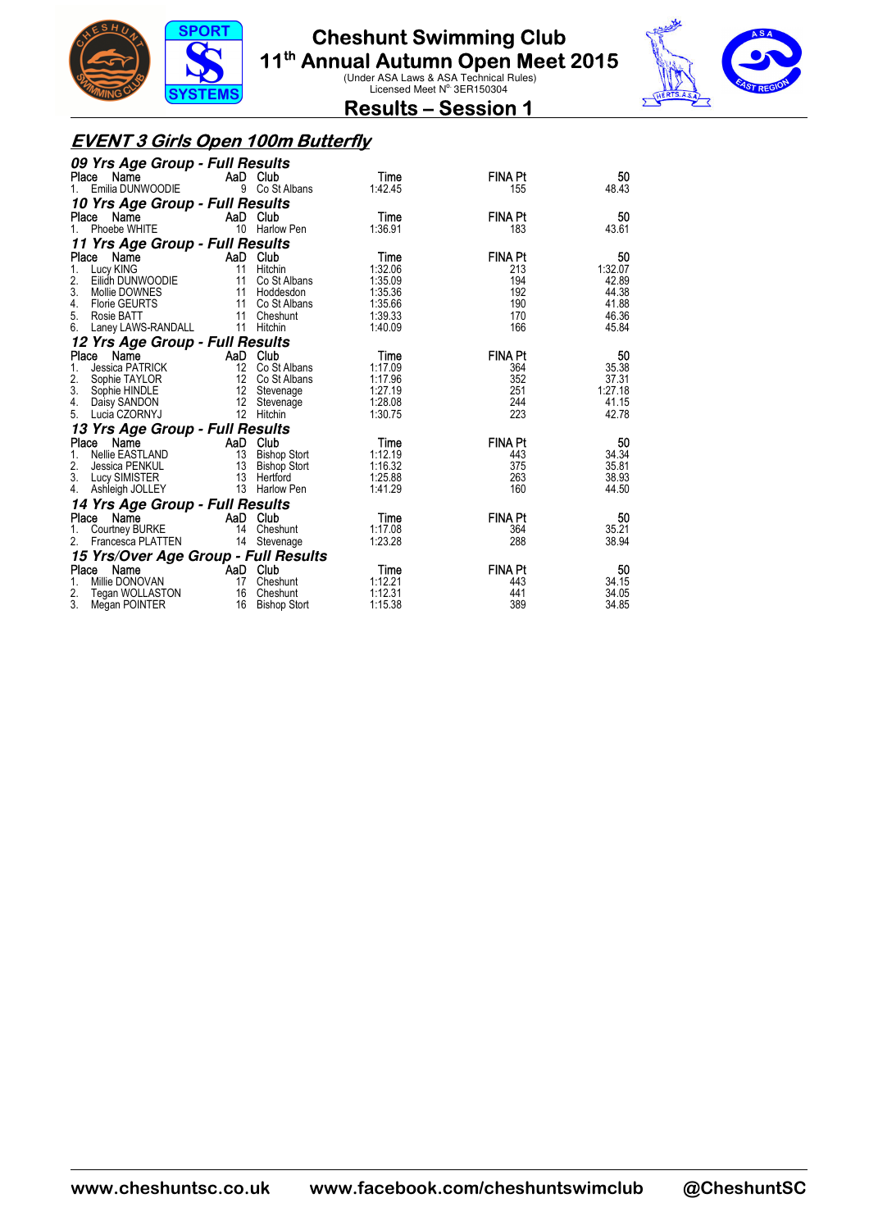



**Results – Session 1** 

#### **EVENT 3 Girls Open 100m Butterfly**

| 09 Yrs Age Group - Full Results      |                   |                     |                 |                       |               |
|--------------------------------------|-------------------|---------------------|-----------------|-----------------------|---------------|
| Place Name                           | AaD Club          |                     | Time            | <b>FINA Pt</b>        | 50            |
| Emilia DUNWOODIE<br>$1_{-}$          |                   | 9 Co St Albans      | 1:42.45         | 155                   | 48.43         |
| 10 Yrs Age Group - Full Results      |                   |                     |                 |                       |               |
| Name<br>Place                        | AaD Club          |                     | Time            | <b>FINA Pt</b>        | 50            |
| Phoebe WHITE                         | 10                | Harlow Pen          | 1:36.91         | 183                   | 43.61         |
| 11 Yrs Age Group - Full Results      |                   |                     |                 |                       |               |
| Place Name<br>$1_{\cdot}$            | AaD Club<br>11    | Hitchin             | Time<br>1:32.06 | <b>FINA Pt</b><br>213 | 50<br>1:32.07 |
| Lucy KING<br>2.<br>Eilidh DUNWOODIE  | 11                | Co St Albans        | 1:35.09         | 194                   | 42.89         |
| 3.<br>Mollie DOWNES                  |                   | 11 Hoddesdon        | 1:35.36         | 192                   | 44.38         |
| <b>Florie GEURTS</b><br>4.           |                   | 11 Co St Albans     | 1:35.66         | 190                   | 41.88         |
| 5.<br>Rosie BATT                     | 11                | Cheshunt            | 1:39.33         | 170                   | 46.36         |
| Laney LAWS-RANDALL<br>6.             |                   | 11 Hitchin          | 1:40.09         | 166                   | 45.84         |
| 12 Yrs Age Group - Full Results      |                   |                     |                 |                       |               |
| Place<br>Name                        | AaD Club          |                     | Time            | <b>FINA Pt</b>        | 50            |
| <b>Jessica PATRICK</b><br>1.         |                   | 12 Co St Albans     | 1:17.09         | 364                   | 35.38         |
| 2.<br>Sophie TAYLOR                  |                   | 12 Co St Albans     | 1:17.96         | 352                   | 37.31         |
| 3.<br>Sophie HINDLE                  | 12                | Stevenage           | 1:27.19         | 251                   | 1:27.18       |
| Daisy SANDON<br>4.                   | $12 \overline{ }$ | Stevenage           | 1:28.08         | 244                   | 41.15         |
| 5.<br>Lucia CZORNYJ                  | 12                | Hitchin             | 1:30.75         | 223                   | 42.78         |
| 13 Yrs Age Group - Full Results      |                   |                     |                 |                       |               |
| Name<br>Place                        | AaD Club          |                     | Time            | <b>FINA Pt</b>        | 50            |
| Nellie EASTLAND<br>1.                |                   | 13 Bishop Stort     | 1:12.19         | 443                   | 34.34         |
| 2.<br>Jessica PENKUL                 |                   | 13 Bishop Stort     | 1:16.32         | 375                   | 35.81         |
| 3.<br><b>Lucy SIMISTER</b>           |                   | 13 Hertford         | 1:25.88         | 263                   | 38.93         |
| Ashleigh JOLLEY<br>4.                |                   | 13 Harlow Pen       | 1:41.29         | 160                   | 44.50         |
| 14 Yrs Age Group - Full Results      |                   |                     |                 |                       |               |
| Name<br>Place                        | AaD Club          |                     | Time            | <b>FINA Pt</b>        | 50            |
| Courtney BURKE                       | 14                | Cheshunt            | 1:17.08         | 364                   | 35.21         |
| Francesca PLATTEN                    |                   | 14 Stevenage        | 1:23.28         | 288                   | 38.94         |
| 15 Yrs/Over Age Group - Full Results |                   |                     |                 |                       |               |
| Place Name                           | AaD Club          |                     | Time            | <b>FINA Pt</b>        | 50            |
| Millie DONOVAN<br>1.                 | 17                | Cheshunt            | 1:12.21         | 443                   | 34.15         |
| 2.<br>Tegan WOLLASTON                |                   | 16 Cheshunt         | 1:12.31         | 441                   | 34.05         |
| 3.<br>Megan POINTER                  | 16                | <b>Bishop Stort</b> | 1:15.38         | 389                   | 34.85         |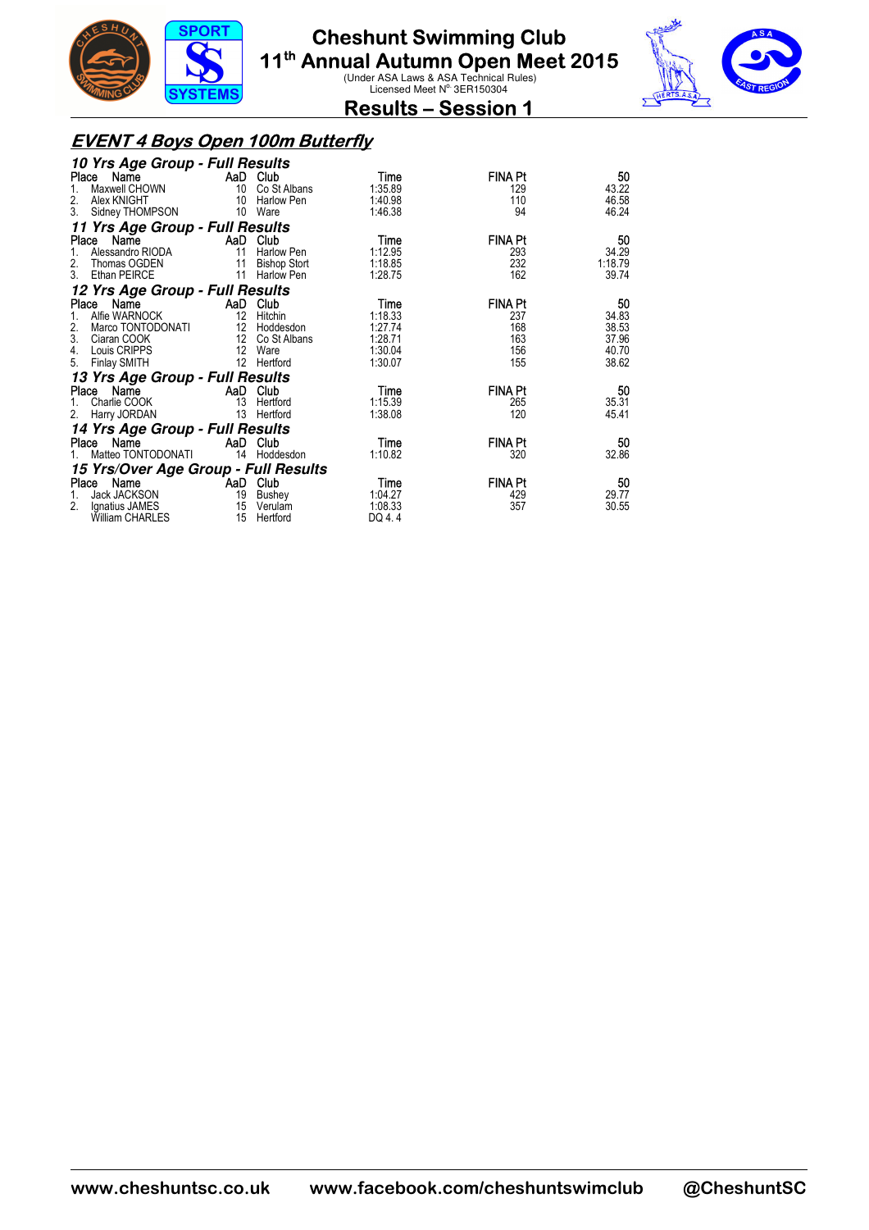



**Results – Session 1** 

#### **EVENT 4 Boys Open 100m Butterfly**

| 10 Yrs Age Group - Full Results                |                |                                   |                    |                |                  |
|------------------------------------------------|----------------|-----------------------------------|--------------------|----------------|------------------|
| Place<br>Name                                  | $AaD$ Club     |                                   | Time               | <b>FINA Pt</b> | 50               |
| Maxwell CHOWN                                  | 10             | Co St Albans                      | 1:35.89            | 129            | 43.22            |
| 2.<br>Alex KNIGHT                              | 10             | Harlow Pen                        | 1:40.98            | 110            | 46.58            |
| 3.<br>Sidney THOMPSON                          |                | 10 Ware                           | 1:46.38            | 94             | 46.24            |
| 11 Yrs Age Group - Full Results                |                |                                   |                    |                |                  |
| Name<br>Place                                  | AaD Club       |                                   | Time               | <b>FINA Pt</b> | 50               |
| 1.<br>Alessandro RIODA<br>2.                   | 11             | <b>Harlow Pen</b>                 | 1:12.95            | 293<br>232     | 34.29<br>1:18.79 |
| Thomas OGDEN<br>3.<br>Ethan PEIRCE             | 11<br>11       | <b>Bishop Stort</b><br>Harlow Pen | 1:18.85<br>1:28.75 | 162            | 39.74            |
|                                                |                |                                   |                    |                |                  |
| 12 Yrs Age Group - Full Results                |                |                                   |                    |                |                  |
| Name<br>Place                                  | AaD Club<br>12 |                                   | Time               | <b>FINA Pt</b> | 50               |
| Alfie WARNOCK<br>1.<br>2.<br>Marco TONTODONATI |                | Hitchin<br>12 Hoddesdon           | 1:18.33<br>1:27.74 | 237<br>168     | 34.83<br>38.53   |
| 3.<br>Ciaran COOK                              | 12             | Co St Albans                      | 1:28.71            | 163            | 37.96            |
| 4.<br>Louis CRIPPS                             | 12             | Ware                              | 1:30.04            | 156            | 40.70            |
| 5.<br>Finlay SMITH                             |                | 12 Hertford                       | 1:30.07            | 155            | 38.62            |
| 13 Yrs Age Group - Full Results                |                |                                   |                    |                |                  |
| Place Name                                     | AaD Club       |                                   | Time               | <b>FINA Pt</b> | 50               |
| Charlie COOK<br>1.                             | 13             | Hertford                          | 1:15.39            | 265            | 35.31            |
| 2.<br>Harry JORDAN                             | 13             | Hertford                          | 1:38.08            | 120            | 45.41            |
| 14 Yrs Age Group - Full Results                |                |                                   |                    |                |                  |
| Name<br>Place                                  | AaD Club       |                                   | Time               | FINA Pt        | 50               |
| Matteo TONTODONATI                             |                | 14 Hoddesdon                      | 1:10.82            | 320            | 32.86            |
| 15 Yrs/Over Age Group - Full Results           |                |                                   |                    |                |                  |
| Name<br>Place                                  | AaD Club       |                                   | Time               | <b>FINA Pt</b> | 50               |
| Jack JACKSON<br>1.                             | 19             | Bushey                            | 1:04.27            | 429            | 29.77            |
| 2.<br>Ignatius JAMES                           |                | 15 Verulam                        | 1:08.33            | 357            | 30.55            |
| <b>William CHARLES</b>                         | 15             | Hertford                          | DQ 4.4             |                |                  |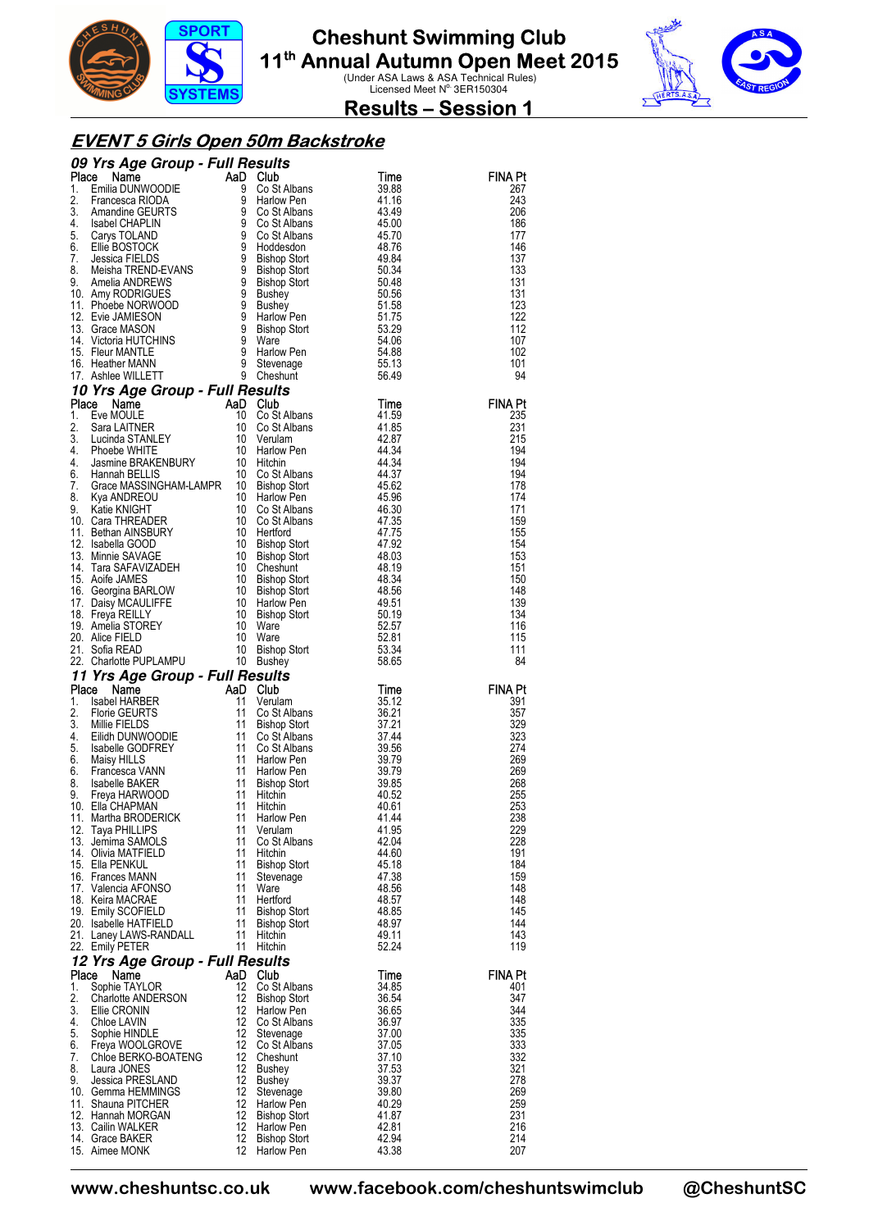



**Results – Session 1** 

#### **EVENT 5 Girls Open 50m Backstroke**

|             | 09 Yrs Age Group - Full Results<br><b>09 Yrs Age Group - Full Results</b><br>Place Name<br>1. Emilia DUNWOODIE 9 Co St Albans<br>3. Amandine GEURTS 9 Co St Albans<br>4. Isabel CHAPLIN 9 Co St Albans<br>4. Isabel CHAPLIN 9 Co St Albans<br>5. Carys TOLAND 9 Co St Albans<br>6. E                        |                         |                                            |                |                       |
|-------------|-------------------------------------------------------------------------------------------------------------------------------------------------------------------------------------------------------------------------------------------------------------------------------------------------------------|-------------------------|--------------------------------------------|----------------|-----------------------|
|             |                                                                                                                                                                                                                                                                                                             |                         |                                            | Time<br>39.88  | FINA Pt<br>267        |
|             |                                                                                                                                                                                                                                                                                                             |                         |                                            | 41.16          | 243                   |
|             |                                                                                                                                                                                                                                                                                                             |                         |                                            | 43.49          | 206                   |
|             |                                                                                                                                                                                                                                                                                                             |                         |                                            | 45.00          | 186                   |
|             |                                                                                                                                                                                                                                                                                                             |                         |                                            | 45.70          | 177                   |
|             |                                                                                                                                                                                                                                                                                                             |                         |                                            | 48.76<br>49.84 | 146<br>137            |
|             |                                                                                                                                                                                                                                                                                                             |                         |                                            | 50.34          | 133                   |
|             |                                                                                                                                                                                                                                                                                                             |                         |                                            | 50.48          | 131                   |
|             |                                                                                                                                                                                                                                                                                                             |                         |                                            | 50.56          | 131                   |
|             |                                                                                                                                                                                                                                                                                                             |                         |                                            | 51.58          | 123                   |
|             |                                                                                                                                                                                                                                                                                                             |                         |                                            | 51.75<br>53.29 | 122<br>112            |
|             |                                                                                                                                                                                                                                                                                                             |                         |                                            | 54.06          | 107                   |
|             |                                                                                                                                                                                                                                                                                                             |                         |                                            | 54.88          | 102                   |
|             |                                                                                                                                                                                                                                                                                                             |                         |                                            | 55.13          | 101                   |
|             |                                                                                                                                                                                                                                                                                                             |                         |                                            | 56.49          | 94                    |
|             | 10 Yrs Age Group - Full Results<br><b>Place Name Care Comp - FUIT FIESUITS<br/> Place Name AaD Club<br/> 10 Co St Albans<br/> 2. Sara LAITNER<br/> 2. Sara LAITNER<br/> 4. Phoebe WHITE<br/> 4. Jasmine BRAKENBURY<br/> 4. Channan BELLIS<br/> 6. Hamnan BELLIS<br/> 7. Grace MASSINGHAM-LAMPR 10 Bisho</b> |                         |                                            | Time           | <b>FINA Pt</b>        |
|             |                                                                                                                                                                                                                                                                                                             |                         |                                            | 41.59          | 235                   |
|             |                                                                                                                                                                                                                                                                                                             |                         |                                            | 41.85          | 231                   |
|             |                                                                                                                                                                                                                                                                                                             |                         |                                            | 42.87          | 215                   |
|             |                                                                                                                                                                                                                                                                                                             |                         |                                            | 44.34          | 194                   |
|             |                                                                                                                                                                                                                                                                                                             |                         |                                            | 44.34<br>44.37 | 194<br>194            |
|             |                                                                                                                                                                                                                                                                                                             |                         |                                            | 45.62          | 178                   |
|             |                                                                                                                                                                                                                                                                                                             |                         |                                            | 45.96          | 174                   |
|             |                                                                                                                                                                                                                                                                                                             |                         |                                            | 46.30          | 171                   |
|             |                                                                                                                                                                                                                                                                                                             |                         |                                            | 47.35          | 159                   |
|             |                                                                                                                                                                                                                                                                                                             |                         |                                            | 47.75<br>47.92 | 155<br>154            |
|             |                                                                                                                                                                                                                                                                                                             |                         |                                            | 48.03          | 153                   |
|             |                                                                                                                                                                                                                                                                                                             |                         |                                            | 48.19          | 151                   |
|             |                                                                                                                                                                                                                                                                                                             |                         |                                            | 48.34          | 150                   |
|             |                                                                                                                                                                                                                                                                                                             |                         | Bishop Stort<br>Bishop Stort<br>Harlow Pen | 48.56          | 148<br>139            |
|             |                                                                                                                                                                                                                                                                                                             |                         | <b>Bishop Stort</b>                        | 49.51<br>50.19 | 134                   |
|             |                                                                                                                                                                                                                                                                                                             |                         |                                            | 52.57          | 116                   |
|             |                                                                                                                                                                                                                                                                                                             |                         |                                            | 52.81          | 115                   |
|             |                                                                                                                                                                                                                                                                                                             |                         | Bishop Stort<br>Bushev                     | 53.34          | 111                   |
|             |                                                                                                                                                                                                                                                                                                             |                         |                                            |                |                       |
|             | 10 Bishop Stort<br>14. Tara SAFAVIZADEH 10 Cheshunt<br>15. Aoife JAMES<br>16. Georgina BARLOW 10 Bishop Stort<br>16. Georgina BARLOW 10 Bishop Stort<br>17. Daisy MCAULIFFE 10 Harlow Pen<br>18. Freya REILLY 10 Bishop Stort<br>19. Amelia                                                                 |                         |                                            | 58.65          | 84                    |
|             | 11 Yrs Age Group - Full Results                                                                                                                                                                                                                                                                             |                         |                                            |                |                       |
| Place<br>1. |                                                                                                                                                                                                                                                                                                             | 11                      | AaD Club<br>Verulam                        | Time<br>35.12  | <b>FINA Pt</b><br>391 |
| 2.          |                                                                                                                                                                                                                                                                                                             | 11                      | Co St Albans                               | 36.21          | 357                   |
| 3.          | <b>Example 18</b><br>Isabel HARBER<br>Florie GEURTS<br>Millie FIELDS                                                                                                                                                                                                                                        |                         | Bishop Stort                               | 37.21          | 329                   |
| 4.          |                                                                                                                                                                                                                                                                                                             |                         | Co St Albans                               | 37.44          | 323                   |
| 5.<br>6.    |                                                                                                                                                                                                                                                                                                             |                         | Co St Albans                               | 39.56          | 274                   |
| 6.          |                                                                                                                                                                                                                                                                                                             |                         | Harlow Pen<br>Harlow Pen                   | 39.79<br>39.79 | 269<br>269            |
| 8.          |                                                                                                                                                                                                                                                                                                             |                         | Bishop Stort                               | 39.85          | 268                   |
| 9.          |                                                                                                                                                                                                                                                                                                             |                         | Hitchin                                    | 40.52          | 255                   |
|             | 10. Ella CHAPMAN                                                                                                                                                                                                                                                                                            |                         | Hitchin                                    | 40.61          | 253                   |
| 12.         | willie FIELDS<br>Eilidh DUNWOODIE<br>Isabelle GODFREY<br>Intervent of the Sabelle SODFREY<br>Intervent of the SAKER<br>Isabelle BAKER<br>Intervent of the SAKER<br>Elia CHAPMAN<br>Intervent of the SRODFRICK<br>Intervent of the SRODFRICK<br>Int<br>11. Martha BRODERICK<br>Taya PHILLIPS                 | 11<br>11                | Harlow Pen<br>Verulam                      | 41.44<br>41.95 | 238<br>229            |
|             | 13. Jemima SAMOLS                                                                                                                                                                                                                                                                                           | 11                      | Co St Albans                               | 42.04          | 228                   |
|             | 14. Olivia MATFIELD                                                                                                                                                                                                                                                                                         | 11                      | Hitchin                                    | 44.60          | 191                   |
|             | 15. Ella PENKUL                                                                                                                                                                                                                                                                                             | 11                      | <b>Bishop Stort</b>                        | 45.18          | 184                   |
|             | 16. Frances MANN<br>17. Valencia AFONSO                                                                                                                                                                                                                                                                     | 11<br>11                | Stevenage                                  | 47.38          | 159                   |
|             | 18. Keira MACRAE                                                                                                                                                                                                                                                                                            | 11                      | Ware<br>Hertford                           | 48.56<br>48.57 | 148<br>148            |
|             | 19. Emily SCOFIELD                                                                                                                                                                                                                                                                                          | 11                      | <b>Bishop Stort</b>                        | 48.85          | 145                   |
|             | 20. Isabelle HATFIELD                                                                                                                                                                                                                                                                                       | 11                      | <b>Bishop Stort</b>                        | 48.97          | 144                   |
|             | 21. Laney LAWS-RANDALL                                                                                                                                                                                                                                                                                      | 11                      | Hitchin                                    | 49.11          | 143                   |
|             | 22. Emily PETER                                                                                                                                                                                                                                                                                             |                         | 11 Hitchin                                 | 52.24          | 119                   |
| Place       | 12 Yrs Age Group - Full Results<br>Name                                                                                                                                                                                                                                                                     |                         | AaD Club                                   | Time           | <b>FINA Pt</b>        |
| 1.          | Sophie TAYLOR                                                                                                                                                                                                                                                                                               | 12                      | Co St Albans                               | 34.85          | 401                   |
| 2.          | <b>Charlotte ANDERSON</b>                                                                                                                                                                                                                                                                                   | 12                      | Bishop Stort                               | 36.54          | 347                   |
| 3.<br>4.    | Ellie CRONIN                                                                                                                                                                                                                                                                                                | $12 \overline{ }$<br>12 | Harlow Pen                                 | 36.65          | 344                   |
| 5.          | Chloe LAVIN<br>Sophie HINDLE                                                                                                                                                                                                                                                                                | 12                      | Co St Albans<br>Stevenage                  | 36.97<br>37.00 | 335<br>335            |
| 6.          | Freya WOOLGROVE                                                                                                                                                                                                                                                                                             | $12 \overline{ }$       | Co St Albans                               | 37.05          | 333                   |
| 7.          | Chloe BERKO-BOATENG                                                                                                                                                                                                                                                                                         | 12                      | Cheshunt                                   | 37.10          | 332                   |
| 8.          | Laura JONES                                                                                                                                                                                                                                                                                                 | 12                      | <b>Bushey</b>                              | 37.53          | 321                   |
| 9.          | Jessica PRESLAND                                                                                                                                                                                                                                                                                            | 12<br>12                | Bushey                                     | 39.37          | 278<br>269            |
|             | 10. Gemma HEMMINGS<br>11. Shauna PITCHER                                                                                                                                                                                                                                                                    | 12                      | Stevenage<br>Harlow Pen                    | 39.80<br>40.29 | 259                   |
|             | 12. Hannah MORGAN                                                                                                                                                                                                                                                                                           | 12                      | <b>Bishop Stort</b>                        | 41.87          | 231                   |
|             | 13. Cailin WALKER<br>14. Grace BAKER                                                                                                                                                                                                                                                                        | 12<br>12                | Harlow Pen<br><b>Bishop Stort</b>          | 42.81<br>42.94 | 216<br>214            |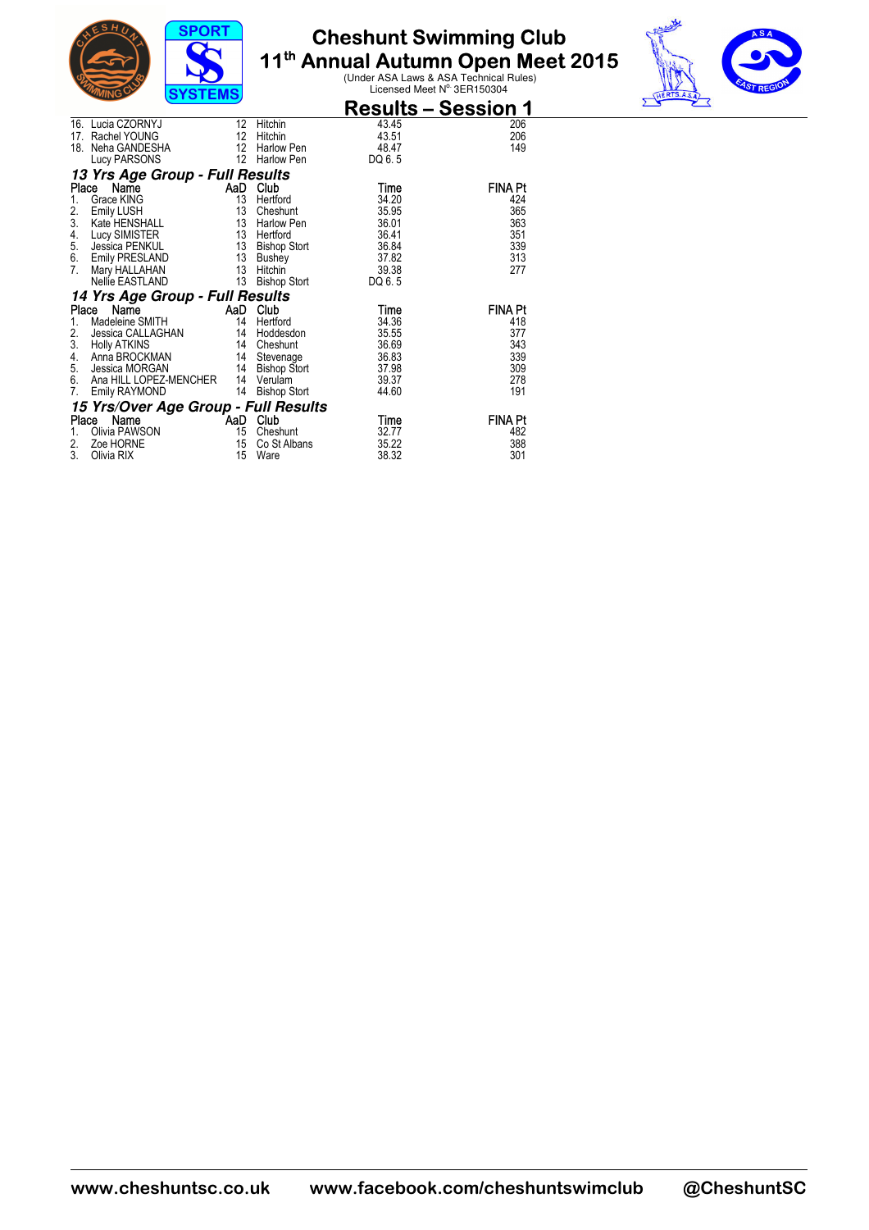



|                 | ַטװש״<br>5151 EWS                         |                   |                     |                            |                |
|-----------------|-------------------------------------------|-------------------|---------------------|----------------------------|----------------|
|                 |                                           |                   |                     | <b>Results – Session 1</b> |                |
|                 | 16. Lucia CZORNYJ                         | 12                | Hitchin             | 43.45                      | 206            |
|                 | 17. Rachel YOUNG                          | 12                | Hitchin             | 43.51                      | 206            |
| 18.             | Neha GANDESHA                             | $12 \overline{ }$ | Harlow Pen          | 48.47                      | 149            |
|                 | Lucy PARSONS                              | 12                | Harlow Pen          | DQ 6.5                     |                |
|                 | 13 Yrs Age Group - Full Results           |                   |                     |                            |                |
| Place           | Name                                      | AaD               | Club                | Time                       | <b>FINA Pt</b> |
| 1.              | Grace KING                                | 13                | Hertford            | 34.20                      | 424            |
| $\frac{2}{3}$ . | Emily LUSH<br>Emily LUSH<br>Kate HENSHALL | 13                | Cheshunt            | 35.95                      | 365            |
|                 |                                           | 13                | Harlow Pen          | 36.01                      | 363            |
| 4.              | Lucy SIMISTER                             | 13                | Hertford            | 36.41                      | 351            |
| 5.<br>6.        | Jessica PENKUL                            | 13                | <b>Bishop Stort</b> | 36.84                      | 339            |
|                 | <b>Emily PRESLAND</b>                     | 13                | Bushey              | 37.82                      | 313            |
| 7.              | Mary HALLAHAN                             | 13                | Hitchin             | 39.38                      | 277            |
|                 | Nellie EASTLAND                           | 13                | <b>Bishop Stort</b> | DQ 6.5                     |                |
|                 | 14 Yrs Age Group - Full Results           |                   |                     |                            |                |
| Place           | Name                                      | AaD               | Club                | Time                       | <b>FINA Pt</b> |
| 1.              | Madeleine SMITH                           | 14                | Hertford            | 34.36                      | 418            |
| 2.              | Jessica CALLAGHAN                         | 14                | Hoddesdon           | 35.55                      | 377            |
| 3.              | <b>Holly ATKINS</b>                       | 14                | Cheshunt            | 36.69                      | 343            |
| 4.              | Anna BROCKMAN                             | 14                | Stevenage           | 36.83                      | 339            |
| 5.              | Jessica MORGAN                            | 14                | <b>Bishop Stort</b> | 37.98                      | 309            |
| 6.              | Ana HILL LOPEZ-MENCHER                    | - 14              | Verulam             | 39.37                      | 278            |
| 7.              | Emily RAYMOND                             | 14                | <b>Bishop Stort</b> | 44.60                      | 191            |
|                 | 15 Yrs/Over Age Group - Full Results      |                   |                     |                            |                |
| Place           | Name<br><b>Example 1</b>                  |                   | Club                | Time                       | <b>FINA Pt</b> |
| 1.              | Olivia PAWSON                             | 15                | Cheshunt            | 32.77                      | 482            |
| 2.              | Zoe HORNE                                 | 15                | Co St Albans        | 35.22                      | 388            |
| 3.              | Olivia RIX                                | 15                | Ware                | 38.32                      | 301            |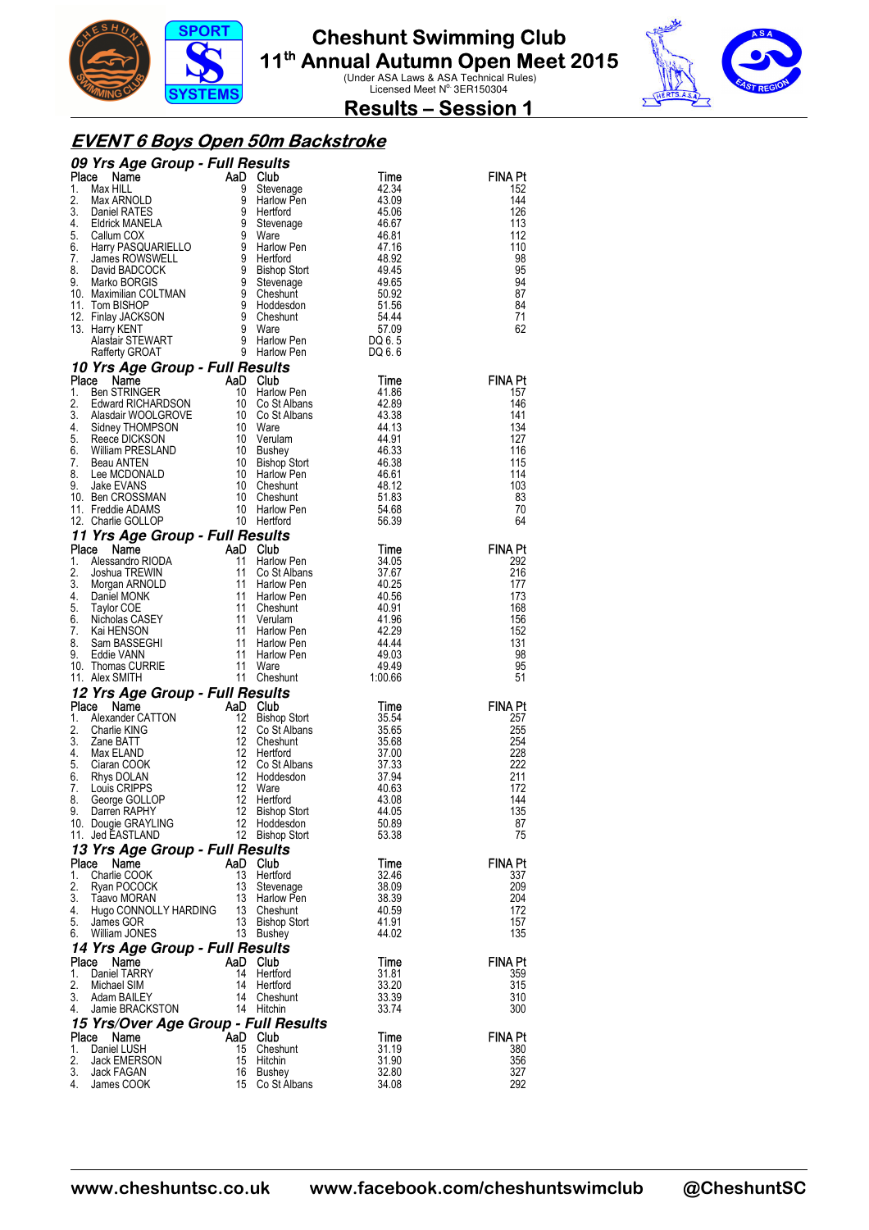



**Results – Session 1** 

#### **EVENT 6 Boys Open 50m Backstroke**

|          | 09 Yrs Age Group - Full Results                                                                                                                                                                                                                                         |          |                                     |                |                |
|----------|-------------------------------------------------------------------------------------------------------------------------------------------------------------------------------------------------------------------------------------------------------------------------|----------|-------------------------------------|----------------|----------------|
| Place    | <b>Triangle Concerns Triangle Concerns Theory Concerns Triangle PATES</b><br>Max ARNOLD 9<br>Daniel RATES 9<br>Eldrick MANELA 9<br>Callum COX 9                                                                                                                         |          | AaD Club                            | Time           | FINA Pt        |
| 1.<br>2. |                                                                                                                                                                                                                                                                         |          | Stevenage<br>Harlow Pen             | 42.34<br>43.09 | 152<br>144     |
| 3.       |                                                                                                                                                                                                                                                                         |          | Hertford                            | 45.06          | 126            |
| 4.       |                                                                                                                                                                                                                                                                         |          | Stevenage                           | 46.67          | 113            |
| 5.       |                                                                                                                                                                                                                                                                         |          | Ware                                | 46.81          | 112            |
|          |                                                                                                                                                                                                                                                                         |          |                                     | 47.16<br>48.92 | 110            |
|          |                                                                                                                                                                                                                                                                         |          |                                     | 49.45          | 98<br>95       |
|          |                                                                                                                                                                                                                                                                         |          |                                     | 49.65          | 94             |
|          |                                                                                                                                                                                                                                                                         |          |                                     | 50.92          | 87             |
|          |                                                                                                                                                                                                                                                                         |          |                                     | 51.56          | 84             |
|          |                                                                                                                                                                                                                                                                         |          |                                     | 54.44<br>57.09 | 71             |
|          |                                                                                                                                                                                                                                                                         |          |                                     | DQ 6.5         | 62             |
|          | 5. Callum COX<br>6. Harry PASQUARIELLO<br>7. James ROWSWELL<br>9. Bavid BADCOCK<br>9. Bavid BADCOCK<br>9. Bishop Stort<br>9. Stevenage<br>9. Stevenage<br>10. Maximilian COLTMAN<br>11. Tom BISHOP<br>12. Finlay JACKSON<br>13. Harry KENT<br>13. Harr                  |          |                                     | DQ 6.6         |                |
|          | 10 Yrs Age Group - Full Results                                                                                                                                                                                                                                         |          |                                     |                |                |
|          |                                                                                                                                                                                                                                                                         |          |                                     | Time           | <b>FINA Pt</b> |
|          |                                                                                                                                                                                                                                                                         |          |                                     | 41.86          | 157            |
|          |                                                                                                                                                                                                                                                                         |          |                                     | 42.89          | 146            |
|          |                                                                                                                                                                                                                                                                         |          |                                     | 43.38          | 141            |
|          |                                                                                                                                                                                                                                                                         |          |                                     | 44.13<br>44.91 | 134<br>127     |
|          |                                                                                                                                                                                                                                                                         |          |                                     | 46.33          | 116            |
|          |                                                                                                                                                                                                                                                                         |          |                                     | 46.38          | 115            |
|          |                                                                                                                                                                                                                                                                         |          |                                     | 46.61          | 114            |
|          |                                                                                                                                                                                                                                                                         |          |                                     | 48.12          | 103            |
|          |                                                                                                                                                                                                                                                                         |          |                                     | 51.83          | 83             |
|          |                                                                                                                                                                                                                                                                         |          |                                     | 54.68<br>56.39 | 70<br>64       |
|          | <b>Place Name Care Component Capital Control Control Control Control Control Control Control Control Control Control Control Control Control Control Control Control Control Control Control Control Control Control Control Con</b><br>11 Yrs Age Group - Full Results |          |                                     |                |                |
| Place    | <b>Triangle School Control Control Control Control Control Control Control Control Control Control Control Control Control Control Control Control Control Control Control Control Control Control Control Control Control Contr</b>                                    |          |                                     | Time           | <b>FINA Pt</b> |
| 1.       |                                                                                                                                                                                                                                                                         |          | Harlow Pen                          | 34.05          | 292            |
| 2.       |                                                                                                                                                                                                                                                                         |          | Co St Albans                        | 37.67          | 216            |
| 3.       |                                                                                                                                                                                                                                                                         |          | Harlow Pen                          | 40.25          | 177            |
| 4.       |                                                                                                                                                                                                                                                                         |          | Harlow Pen                          | 40.56          | 173            |
| 5.<br>6. |                                                                                                                                                                                                                                                                         |          | Cheshunt<br>Verulam                 | 40.91<br>41.96 | 168<br>156     |
| 7.       |                                                                                                                                                                                                                                                                         |          | Harlow Pen                          | 42.29          | 152            |
| 8.       |                                                                                                                                                                                                                                                                         |          | Harlow Pen                          | 44.44          | 131            |
| 9.       |                                                                                                                                                                                                                                                                         |          | Harlow Pen                          | 49.03          | 98             |
| 10.      | Thomas CURRIE                                                                                                                                                                                                                                                           |          |                                     | 49.49          | 95             |
|          | 11. Alex SMITH                                                                                                                                                                                                                                                          |          | 11 Cheshunt                         | 1:00.66        | 51             |
|          | 12 Yrs Age Group - Full Results                                                                                                                                                                                                                                         |          |                                     |                |                |
| Place    | From Town<br>MaD Club<br>12 Bishop<br>12 Co St<br>12 Co St<br>12 Hertfo<br>12 Hertfo<br>12 Hertfo<br>12 Ware<br>12 Hertfo<br>12 Hertfo<br>12 Hertfo<br>12 Hertfo<br>12 Nate<br>Name                                                                                     |          |                                     | Time           | <b>FINA Pt</b> |
| 1.<br>2. | Alexander CATTON<br>Charlie KING                                                                                                                                                                                                                                        |          | <b>Bishop Stort</b><br>Co St Albans | 35.54<br>35.65 | 257<br>255     |
| 3.       | Zane BATT                                                                                                                                                                                                                                                               |          | Cheshunt                            | 35.68          | 254            |
| 4.       | Max ELAND                                                                                                                                                                                                                                                               |          | Hertford                            | 37.00          | 228            |
| 5.       | Ciaran COOK                                                                                                                                                                                                                                                             |          | Co St Albans                        | 37.33          | 222            |
| 6.       | Rhys DOLAN                                                                                                                                                                                                                                                              |          | Hoddesdon                           | 37.94          | 211            |
| 7.<br>8. | Louis CRIPPS<br>George GOLLOP                                                                                                                                                                                                                                           |          | Hertford                            | 40.63<br>43.08 | 172<br>144     |
| 9.       | Darren RAPHY                                                                                                                                                                                                                                                            |          | 12 Bishop Stort                     | 44.05          | 135            |
|          | 10. Dougie GRAYLING                                                                                                                                                                                                                                                     |          | 12 Hoddesdon                        | 50.89          | 87             |
|          | 11. Jed EASTLAND                                                                                                                                                                                                                                                        |          | 12 Bishop Stort                     | 53.38          | 75             |
|          | 13 Yrs Age Group - Full Results                                                                                                                                                                                                                                         |          |                                     |                |                |
| Place    | Name                                                                                                                                                                                                                                                                    |          | AaD Club                            | Time           | FINA Pt        |
| 1.       | Charlie COOK                                                                                                                                                                                                                                                            | 13       | Hertford                            | 32.46          | 337            |
| 2.<br>3. | Ryan POCOCK                                                                                                                                                                                                                                                             | 13<br>13 | Stevenage<br><b>Harlow Pen</b>      | 38.09          | 209<br>204     |
|          | Taavo MORAN<br>4. Hugo CONNOLLY HARDING                                                                                                                                                                                                                                 |          | 13 Cheshunt                         | 38.39<br>40.59 | 172            |
| 5.       | James GOR                                                                                                                                                                                                                                                               |          | 13 Bishop Stort                     | 41.91          | 157            |
| 6.       | William JONES                                                                                                                                                                                                                                                           |          | 13 Bushey                           | 44.02          | 135            |
|          | 14 Yrs Age Group - Full Results                                                                                                                                                                                                                                         |          |                                     |                |                |
| Place    | Name                                                                                                                                                                                                                                                                    |          | AaD Club                            | Time           | FINA Pt        |
| 1.       | Daniel TARRY                                                                                                                                                                                                                                                            | 14       | Hertford                            | 31.81          | 359            |
| 2.       | Michael SIM                                                                                                                                                                                                                                                             |          | 14 Hertford                         | 33.20          | 315            |
| 4.       | 3. Adam BAILEY<br>Jamie BRACKSTON                                                                                                                                                                                                                                       |          | 14 Cheshunt<br>14 Hitchin           | 33.39<br>33.74 | 310<br>300     |
|          |                                                                                                                                                                                                                                                                         |          |                                     |                |                |
|          | 15 Yrs/Over Age Group - Full Results<br>Place Name                                                                                                                                                                                                                      |          | AaD Club                            | Time           | FINA Pt        |
| 1.       | Daniel LUSH                                                                                                                                                                                                                                                             | 15       | Cheshunt                            | 31.19          | 380            |
| 2.       | Jack EMERSON                                                                                                                                                                                                                                                            | 15       | Hitchin                             | 31.90          | 356            |
| 3.       | Jack FAGAN                                                                                                                                                                                                                                                              | 16       | Bushey                              | 32.80          | 327            |
| 4.       | James COOK                                                                                                                                                                                                                                                              |          | 15 Co St Albans                     | 34.08          | 292            |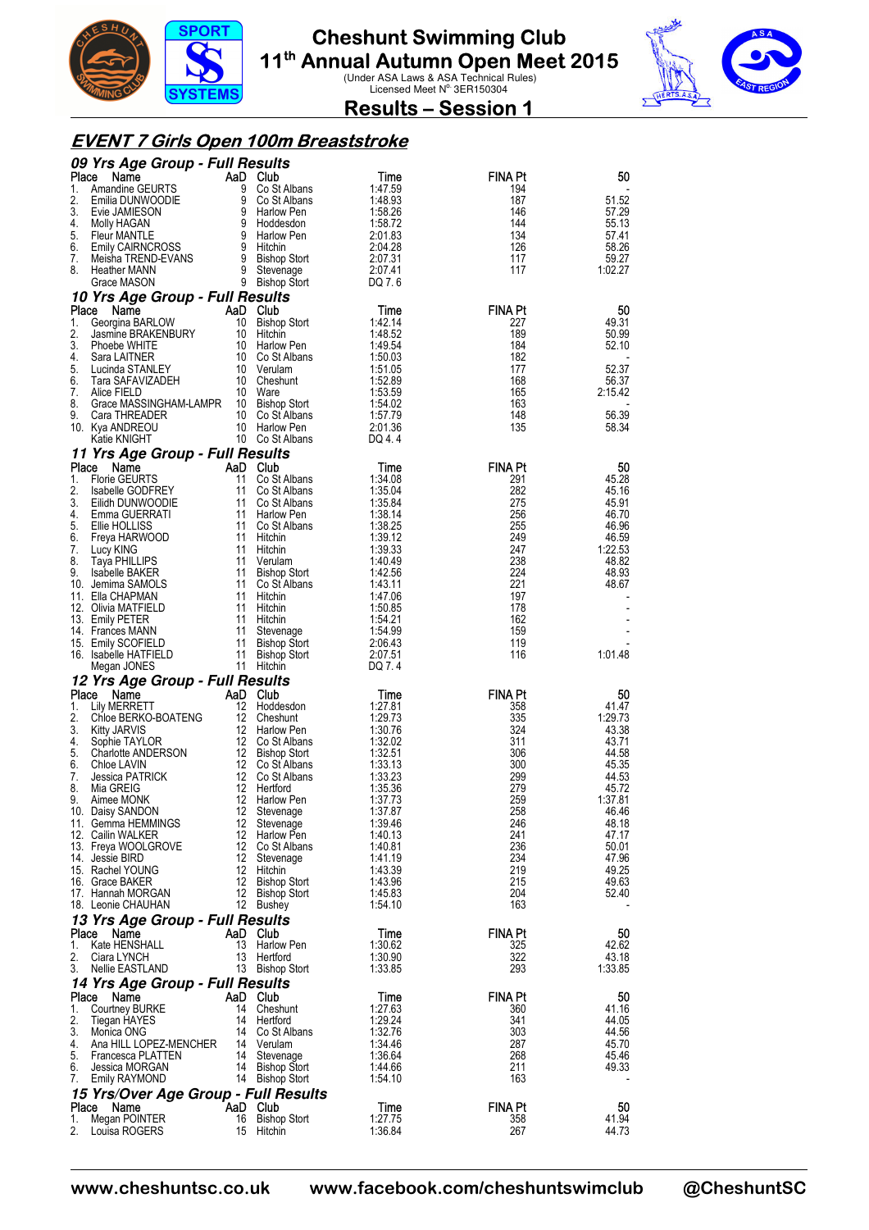



**Results – Session 1** 

#### **EVENT 7 Girls Open 100m Breaststroke**

|             | 09 Yrs Age Group - Full Results                       |          |                                    |                    |                       |                  |
|-------------|-------------------------------------------------------|----------|------------------------------------|--------------------|-----------------------|------------------|
| Place<br>1. | Name<br>Amandine GEURTS                               | 9        | AaD Club<br>Co St Albans           | Time<br>1:47.59    | <b>FINA Pt</b><br>194 | 50               |
| 2.          | Emilia DUNWOODIE                                      |          | 9 Co St Albans                     | 1:48.93            | 187                   | 51.52            |
| 3.          | Evie JAMIESON                                         | 9        | Harlow Pen                         | 1:58.26            | 146                   | 57.29            |
| 4.<br>5.    | Molly HAGAN<br>Fleur MANTLE                           |          | 9 Hoddesdon<br>9 Harlow Pen        | 1:58.72<br>2:01.83 | 144<br>134            | 55.13<br>57.41   |
| 6.          | <b>Emily CAIRNCROSS</b>                               | 9        | Hitchin                            | 2:04.28            | 126                   | 58.26            |
| 7.          | Meisha TREND-EVANS                                    | 9        | <b>Bishop Stort</b>                | 2:07.31            | 117                   | 59.27            |
| 8.          | <b>Heather MANN</b><br>Grace MASON                    | 9<br>9   | Stevenage<br><b>Bishop Stort</b>   | 2:07.41<br>DQ 7.6  | 117                   | 1:02.27          |
|             | 10 Yrs Age Group - Full Results                       |          |                                    |                    |                       |                  |
| Place       | Name                                                  |          | AaD Club                           | Time               | <b>FINA Pt</b>        | 50               |
| 1.<br>2.    | Georgina BARLOW<br>Jasmine BRAKENBURY                 |          | 10 Bishop Stort<br>10 Hitchin      | 1:42.14<br>1:48.52 | 227<br>189            | 49.31<br>50.99   |
| 3.          | Phoebe WHITE                                          |          | 10 Harlow Pen                      | 1:49.54            | 184                   | 52.10            |
| 4.          | Sara LAITNER                                          |          | 10 Co St Albans                    | 1:50.03            | 182                   |                  |
| 5.<br>6.    | Lucinda STANLEY<br>Tara SAFAVIZADEH                   |          | 10 Verulam<br>10 Cheshunt          | 1:51.05<br>1:52.89 | 177<br>168            | 52.37<br>56.37   |
| 7.          | Alice FIELD                                           |          | 10 Ware                            | 1:53.59            | 165                   | 2:15.42          |
| 8.          | Grace MASSINGHAM-LAMPR                                |          | 10 Bishop Stort                    | 1:54.02            | 163                   |                  |
| 9.          | Cara THREADER<br>10. Kya ANDREOU                      |          | 10 Co St Albans<br>10 Harlow Pen   | 1:57.79<br>2:01.36 | 148<br>135            | 56.39<br>58.34   |
|             | Katie KNIGHT                                          |          | 10 Co St Albans                    | DQ 4.4             |                       |                  |
|             | 11 Yrs Age Group - Full Results                       |          |                                    |                    |                       |                  |
| Place<br>1. | Name<br><b>Florie GEURTS</b>                          | 11       | AaD Club<br>Co St Albans           | Time<br>1:34.08    | <b>FINA Pt</b><br>291 | 50<br>45.28      |
| 2.          | Isabelle GODFREY                                      | 11       | Co St Albans                       | 1:35.04            | 282                   | 45.16            |
| 3.          | Eilidh DUNWOODIE                                      |          | 11 Co St Albans                    | 1:35.84            | 275                   | 45.91            |
| 4.<br>5.    | Emma GUERRATI<br>Ellie HOLLISS                        |          | 11 Harlow Pen<br>11 Co St Albans   | 1:38.14<br>1:38.25 | 256<br>255            | 46.70<br>46.96   |
| 6.          | Freya HARWOOD                                         |          | 11 Hitchin                         | 1:39.12            | 249                   | 46.59            |
| 7.          | Lucy KING                                             |          | 11 Hitchin                         | 1:39.33            | 247                   | 1:22.53          |
| 8.<br>9.    | <b>Taya PHILLIPS</b><br><b>Isabelle BAKER</b>         | 11       | Verulam<br>11 Bishop Stort         | 1:40.49<br>1:42.56 | 238<br>224            | 48.82<br>48.93   |
|             | 10. Jemima SAMOLS                                     |          | 11 Co St Albans                    | 1:43.11            | 221                   | 48.67            |
|             | 11. Ella CHAPMAN                                      |          | 11 Hitchin                         | 1:47.06            | 197                   |                  |
|             | 12. Olivia MATFIELD<br>13. Emily PETER                | 11       | 11 Hitchin<br>Hitchin              | 1:50.85<br>1:54.21 | 178<br>162            |                  |
|             | 14. Frances MANN                                      | 11       | Stevenage                          | 1:54.99            | 159                   |                  |
|             | 15. Emily SCOFIELD                                    |          | 11 Bishop Stort                    | 2:06.43            | 119                   |                  |
|             | 16. Isabelle HATFIELD<br>Megan JONES                  | 11       | <b>Bishop Stort</b><br>11 Hitchin  | 2:07.51<br>DQ 7.4  | 116                   | 1:01.48          |
|             | 12 Yrs Age Group - Full Results                       |          |                                    |                    |                       |                  |
| Place       | Name                                                  |          | AaD Club                           | Time               | <b>FINA Pt</b>        | 50               |
| 1.<br>2.    | Lily MERRETT<br>Chloe BERKO-BOATENG                   |          | 12 Hoddesdon<br>12 Cheshunt        | 1:27.81<br>1:29.73 | 358<br>335            | 41.47<br>1:29.73 |
| 3.          | <b>Kitty JARVIS</b>                                   |          | 12 Harlow Pen                      | 1:30.76            | 324                   | 43.38            |
| 4.<br>5.    | Sophie TAYLOR<br>Charlotte ANDERSON                   |          | 12 Co St Albans<br>12 Bishop Stort | 1:32.02<br>1:32.51 | 311<br>306            | 43.71<br>44.58   |
| 6.          | Chloe LAVIN                                           |          | 12 Co St Albans                    | 1:33.13            | 300                   | 45.35            |
| 7.          | Jessica PATRICK                                       |          | 12 Co St Albans                    | 1:33.23            | 299                   | 44.53            |
| 8.<br>9.    | Mia GREIG<br>Aimee MONK                               | 12<br>12 | Hertford<br><b>Harlow Pen</b>      | 1:35.36<br>1:37.73 | 279<br>259            | 45.72<br>1:37.81 |
|             | 10. Daisy SANDON                                      |          | 12 Stevenage                       | 1:37.87            | 258                   | 46.46            |
|             | 11. Gemma HEMMINGS                                    |          | 12 Stevenage                       | 1:39.46            | 246                   | 48.18            |
|             | 12. Cailin WALKER<br>13. Freya WOOLGROVE              |          | 12 Harlow Pen<br>12 Co St Albans   | 1:40.13<br>1:40.81 | 241<br>236            | 47.17<br>50.01   |
|             | 14. Jessie BIRD                                       |          | 12 Stevenage                       | 1:41.19            | 234                   | 47.96            |
|             | 15. Rachel YOUNG<br>16. Grace BAKER                   |          | 12 Hitchin<br>12 Bishop Stort      | 1:43.39            | 219<br>215            | 49.25            |
|             | 17. Hannah MORGAN                                     |          | 12 Bishop Stort                    | 1:43.96<br>1:45.83 | 204                   | 49.63<br>52.40   |
|             | 18. Leonie CHAUHAN                                    |          | 12 Bushey                          | 1:54.10            | 163                   |                  |
|             | 13 Yrs Age Group - Full Results                       |          |                                    |                    |                       |                  |
| 1.          | Place Name<br>Kate HENSHALL                           | 13       | AaD Club<br>Harlow Pen             | Time<br>1:30.62    | <b>FINA Pt</b><br>325 | 50<br>42.62      |
| 2.          | Ciara LYNCH                                           | 13       | Hertford                           | 1:30.90            | 322                   | 43.18            |
| 3.          | Nellie EASTLAND                                       |          | 13 Bishop Stort                    | 1:33.85            | 293                   | 1:33.85          |
| Place       | 14 Yrs Age Group - Full Results<br>Name               |          | AaD Club                           | Time               | <b>FINA Pt</b>        | 50               |
| 1.          | Courtney BURKE                                        |          | 14 Cheshunt                        | 1:27.63            | 360                   | 41.16            |
| 2.          | Tiegan HAYES                                          |          | 14 Hertford                        | 1:29.24            | 341                   | 44.05            |
| 3.<br>4.    | Monica ONG<br>Ana HILL LOPEZ-MENCHER                  |          | 14 Co St Albans<br>14 Verulam      | 1:32.76<br>1:34.46 | 303<br>287            | 44.56<br>45.70   |
| 5.          | Francesca PLATTEN                                     |          | 14 Stevenage                       | 1:36.64            | 268                   | 45.46            |
| 6.          | Jessica MORGAN                                        |          | 14 Bishop Stort                    | 1:44.66            | 211                   | 49.33            |
| 7.          | Emily RAYMOND<br>15 Yrs/Over Age Group - Full Results |          | 14 Bishop Stort                    | 1:54.10            | 163                   |                  |
|             | Place Name                                            |          | AaD Club                           | Time               | <b>FINA Pt</b>        | 50               |
| 1.          | Megan POINTER                                         |          | 16 Bishop Stort                    | 1:27.75            | 358                   | 41.94            |
| 2.          | Louisa ROGERS                                         |          | 15 Hitchin                         | 1:36.84            | 267                   | 44.73            |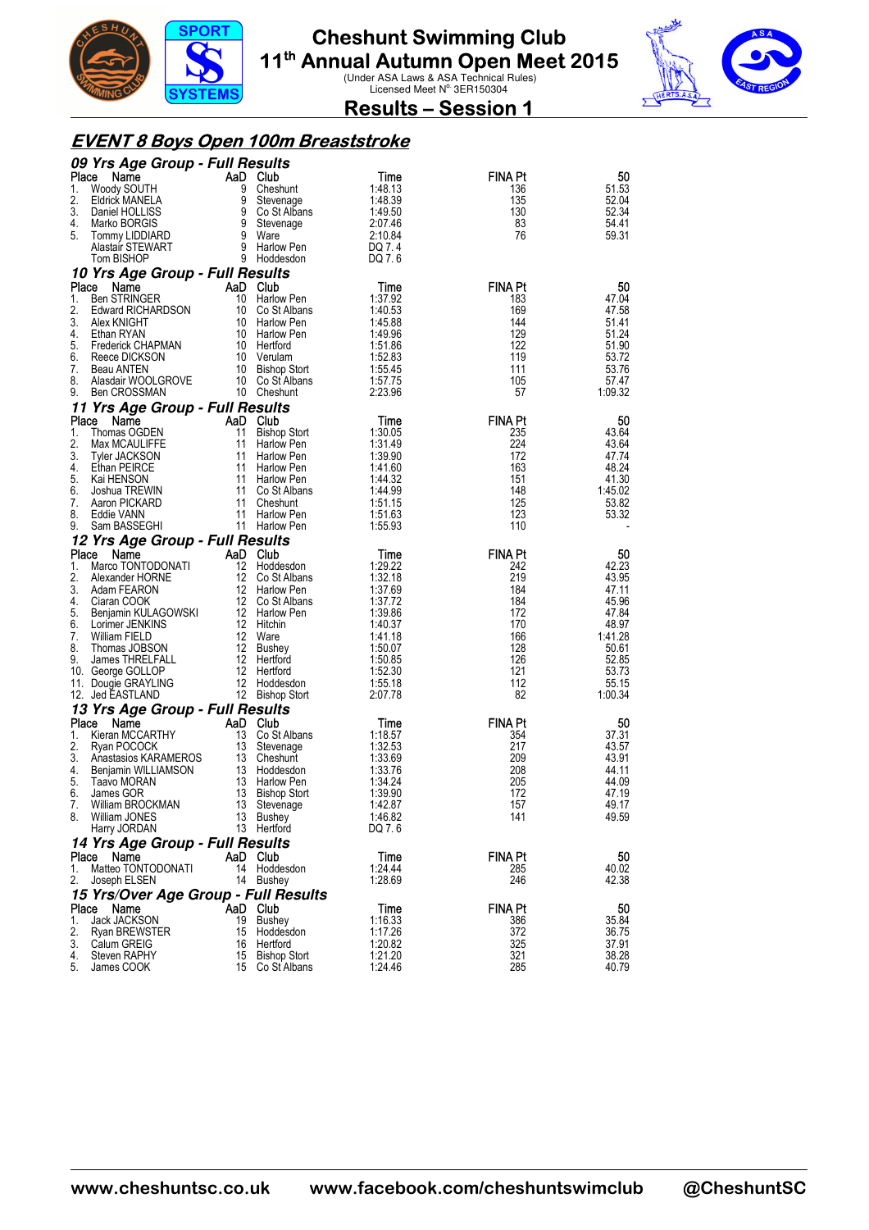



**Results – Session 1** 

#### **EVENT 8 Boys Open 100m Breaststroke**

|             | 09 Yrs Age Group - Full Results             |          |                             |                    |                |                  |
|-------------|---------------------------------------------|----------|-----------------------------|--------------------|----------------|------------------|
| Place       | Name                                        |          | AaD Club                    | Time               | <b>FINA Pt</b> | 50               |
| 1.          | Woody SOUTH                                 | 9        | Cheshunt                    | 1:48.13            | 136            | 51.53            |
| 2.          | Eldrick MANELA                              | 9        | Stevenage                   | 1:48.39            | 135            | 52.04            |
| 3.          | Daniel HOLLISS                              | 9        | Co St Albans                | 1:49.50            | 130            | 52.34            |
| 4.          | Marko BORGIS                                | 9        | Stevenage                   | 2:07.46            | 83             | 54.41            |
| 5.          | Tommy LIDDIARD<br>Alastair STEWART          | 9        | Ware<br>9 Harlow Pen        | 2:10.84<br>DQ 7.4  | 76             | 59.31            |
|             | Tom BISHOP                                  |          | 9 Hoddesdon                 | DQ 7.6             |                |                  |
|             |                                             |          |                             |                    |                |                  |
|             | 10 Yrs Age Group - Full Results             |          |                             |                    | <b>FINA Pt</b> |                  |
| Place<br>1. | Name<br><b>Ben STRINGER</b>                 | 10       | AaD Club<br>Harlow Pen      | Time<br>1:37.92    | 183            | 50<br>47.04      |
| 2.          | Edward RICHARDSON                           | 10       | Co St Albans                | 1:40.53            | 169            | 47.58            |
| 3.          | Alex KNIGHT                                 |          | 10 Harlow Pen               | 1:45.88            | 144            | 51.41            |
| 4.          | Ethan RYAN                                  |          | 10 Harlow Pen               | 1:49.96            | 129            | 51.24            |
| 5.          | <b>Frederick CHAPMAN</b>                    |          | 10 Hertford                 | 1:51.86            | 122            | 51.90            |
| 6.          | Reece DICKSON                               |          | 10 Verulam                  | 1:52.83            | 119            | 53.72            |
| 7.          | Beau ANTEN                                  |          | 10 Bishop Stort             | 1:55.45            | 111            | 53.76            |
| 8.          | Alasdair WOOLGROVE                          |          | 10 Co St Albans             | 1:57.75            | 105            | 57.47            |
| 9.          | Ben CROSSMAN                                |          | 10 Cheshunt                 | 2:23.96            | 57             | 1:09.32          |
|             | 11 Yrs Age Group - Full Results             |          |                             |                    |                |                  |
| Place       | Name                                        |          | AaD Club                    | Time               | <b>FINA Pt</b> | 50               |
| 1.          | Thomas OGDEN                                | 11       | <b>Bishop Stort</b>         | 1:30.05            | 235            | 43.64            |
| 2.          | Max MCAULIFFE                               | 11       | <b>Harlow Pen</b>           | 1:31.49            | 224            | 43.64            |
| 3.          | <b>Tyler JACKSON</b>                        | 11       | Harlow Pen                  | 1:39.90            | 172            | 47.74            |
| 4.          | Ethan PEIRCE                                | 11       | Harlow Pen                  | 1:41.60            | 163            | 48.24            |
| 5.<br>6.    | Kai HENSON                                  | 11       | 11 Harlow Pen               | 1:44.32<br>1:44.99 | 151<br>148     | 41.30<br>1:45.02 |
| 7.          | Joshua TREWIN<br>Aaron PICKARD              | 11       | Co St Albans<br>Cheshunt    | 1:51.15            | 125            | 53.82            |
| 8.          | Eddie VANN                                  | 11       | Harlow Pen                  | 1:51.63            | 123            | 53.32            |
| 9.          | Sam BASSEGHI                                |          | 11 Harlow Pen               | 1:55.93            | 110            |                  |
|             | 12 Yrs Age Group - Full Results             |          |                             |                    |                |                  |
| Place       | Name                                        |          | AaD Club                    | Time               | <b>FINA Pt</b> | 50               |
| 1.          | Marco TONTODONATI                           | 12       | Hoddesdon                   | 1:29.22            | 242            | 42.23            |
| 2.          | Alexander HORNE                             | 12       | Co St Albans                | 1:32.18            | 219            | 43.95            |
| 3.          |                                             |          | 12 Harlow Pen               |                    |                |                  |
|             | Adam FEARON                                 |          |                             | 1:37.69            | 184            | 47.11            |
| 4.          | Ciaran COOK                                 |          | 12 Co St Albans             | 1:37.72            | 184            | 45.96            |
| 5.          | Benjamin KULAGOWSKI                         |          | 12 Harlow Pen               | 1:39.86            | 172            | 47.84            |
| 6.          | Lorimer JENKINS                             |          | 12 Hitchin                  | 1:40.37            | 170            | 48.97            |
| 7.          | William FIELD                               |          | 12 Ware                     | 1:41.18            | 166            | 1:41.28          |
| 8.          | Thomas JOBSON                               | 12       | Bushey                      | 1:50.07            | 128            | 50.61            |
| 9.          | James THRELFALL                             |          | 12 Hertford                 | 1:50.85            | 126            | 52.85            |
|             | 10. George GOLLOP                           |          | 12 Hertford                 | 1:52.30            | 121            | 53.73            |
|             | 11. Dougie GRAYLING                         | 12       | Hoddesdon                   | 1:55.18            | 112            | 55.15            |
|             | 12. Jed EASTLAND                            |          | 12 Bishop Stort             | 2:07.78            | 82             | 1:00.34          |
|             | 13 Yrs Age Group - Full Results             |          |                             |                    |                |                  |
| Place       | Name                                        |          | AaD Club                    | Time               | <b>FINA Pt</b> | 50               |
| 1.          | Kieran MCCARTHY                             | 13       | Co St Albans                | 1:18.57            | 354            | 37.31            |
| 2.<br>3.    | Ryan POCOCK                                 |          | 13 Stevenage<br>13 Cheshunt | 1:32.53<br>1:33.69 | 217<br>209     | 43.57<br>43.91   |
| 4.          | Anastasios KARAMEROS<br>Benjamin WILLIAMSON |          | 13 Hoddesdon                | 1:33.76            | 208            | 44.11            |
| 5.          | Taavo MORAN                                 |          | 13 Harlow Pen               | 1:34.24            | 205            | 44.09            |
| 6.          | James GOR                                   | 13       | <b>Bishop Stort</b>         | 1:39.90            | 172            | 47.19            |
| 7.          | William BROCKMAN                            | 13       | Stevenage                   | 1:42.87            | 157            | 49.17            |
| 8.          | William JONES                               |          | 13 Bushey                   | 1:46.82            | 141            | 49.59            |
|             | Harry JORDAN                                |          | 13 Hertford                 | DQ 7.6             |                |                  |
|             | 14 Yrs Age Group - Full Results             |          |                             |                    |                |                  |
| Place       | Name                                        |          | AaD Club                    | Time               | <b>FINA Pt</b> | 50               |
| 1.          | Matteo TONTODONATI                          |          | 14 Hoddesdon                | 1:24.44            | 285            | 40.02            |
| 2.          | Joseph ELSEN                                |          | 14 Bushey                   | 1:28.69            | 246            | 42.38            |
|             | 15 Yrs/Over Age Group - Full Results        |          |                             |                    |                |                  |
| Place       | Name                                        |          | AaD Club                    | Time               | <b>FINA Pt</b> | 50               |
| 1.          | Jack JACKSON                                | 19       | Bushey                      | 1:16.33            | 386            | 35.84            |
| 3.          | Ryan BREWSTER                               | 15       | Hoddesdon                   | 1:17.26            | 372            | 36.75            |
| 4.          | Calum GREIG<br><b>Steven RAPHY</b>          | 16<br>15 | Hertford<br>Bishop Stort    | 1:20.82<br>1:21.20 | 325<br>321     | 37.91<br>38.28   |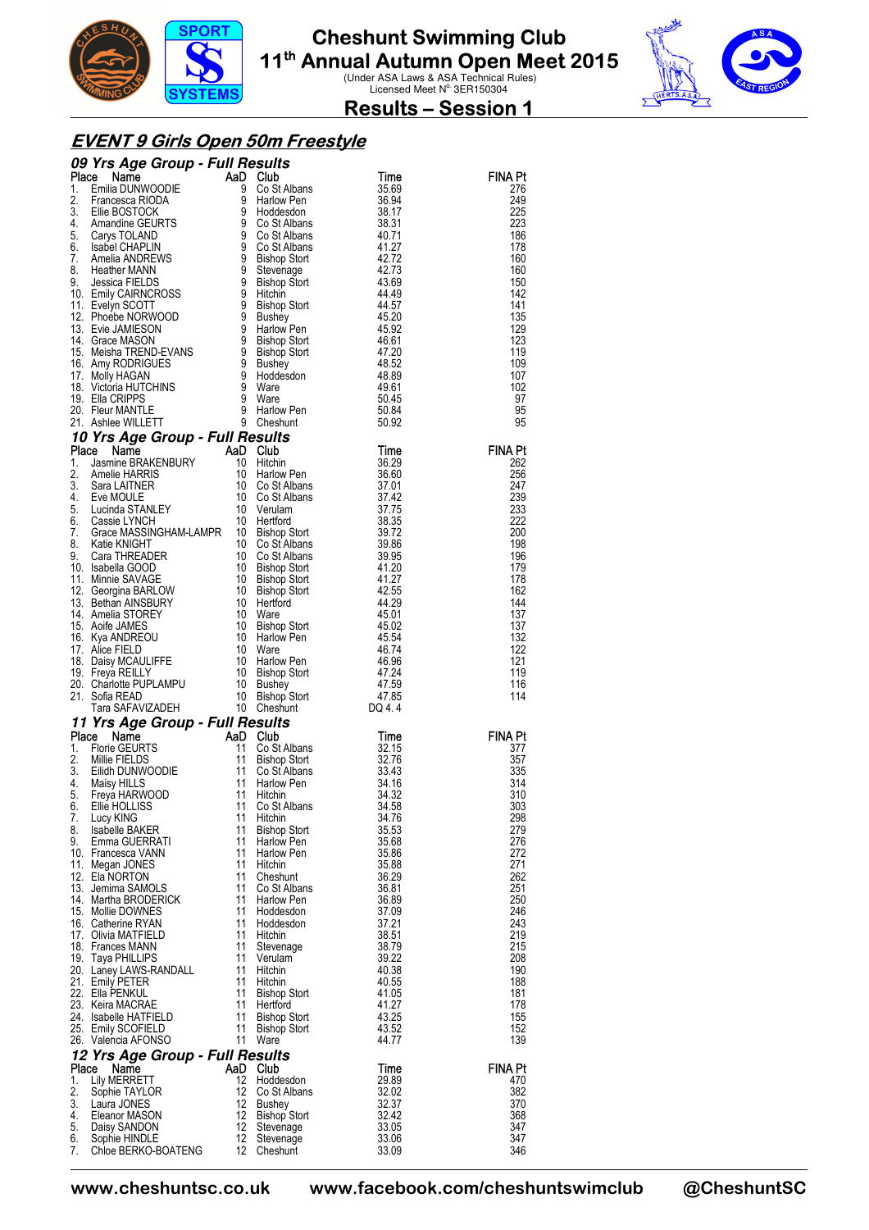



**Results – Session 1** 

#### **EVENT 9 Girls Open 50m Freestyle**

|          | <b>CO Solution Control Community CALISM</b><br>1. Emilia DUNWOODIE And Constanting Community Constanting 2. Francesca RIODA<br>1. Emilia DUNWOODIE 9 Costalbans 35.69<br>2. Francesca RIODA 9 Costalbans 38.94<br>4. Amandme GEURTS 9 Costa                 |          |                                  |                |                       |
|----------|-------------------------------------------------------------------------------------------------------------------------------------------------------------------------------------------------------------------------------------------------------------|----------|----------------------------------|----------------|-----------------------|
|          |                                                                                                                                                                                                                                                             |          |                                  |                | <b>FINA Pt</b><br>276 |
|          |                                                                                                                                                                                                                                                             |          |                                  |                | 249                   |
|          |                                                                                                                                                                                                                                                             |          |                                  |                | 225                   |
|          |                                                                                                                                                                                                                                                             |          |                                  |                | 223                   |
|          |                                                                                                                                                                                                                                                             |          |                                  |                | 186                   |
|          |                                                                                                                                                                                                                                                             |          |                                  |                | 178<br>160            |
|          |                                                                                                                                                                                                                                                             |          |                                  |                | 160                   |
|          |                                                                                                                                                                                                                                                             |          |                                  |                | 150                   |
|          |                                                                                                                                                                                                                                                             |          |                                  |                | 142                   |
|          |                                                                                                                                                                                                                                                             |          |                                  |                | 141<br>135            |
|          |                                                                                                                                                                                                                                                             |          |                                  |                | 129                   |
|          |                                                                                                                                                                                                                                                             |          |                                  |                | 123                   |
|          |                                                                                                                                                                                                                                                             |          |                                  |                | 119                   |
|          |                                                                                                                                                                                                                                                             |          |                                  |                | 109                   |
|          |                                                                                                                                                                                                                                                             |          |                                  |                | 107<br>102            |
|          |                                                                                                                                                                                                                                                             |          |                                  |                | 97                    |
|          |                                                                                                                                                                                                                                                             |          |                                  |                | 95                    |
|          |                                                                                                                                                                                                                                                             |          |                                  |                | 95                    |
|          | 20. Fleur MANTLETT 9 Harlow Pen<br><b>10 Yrs Age Group - Full Results</b><br><b>10 Yrs Age Group - Full Results</b><br><b>10 Yrs Age Group - Full Results</b><br>10 Harlow Pen<br>1. Jasmine BRAKENBURY 10 Harlow Pen<br>4. Eve MOULE 10 Co St Albans<br>4. |          |                                  |                |                       |
|          |                                                                                                                                                                                                                                                             |          |                                  |                | <b>FINA Pt</b>        |
|          |                                                                                                                                                                                                                                                             |          |                                  |                | 262<br>256            |
|          |                                                                                                                                                                                                                                                             |          |                                  |                | 247                   |
|          |                                                                                                                                                                                                                                                             |          |                                  |                | 239                   |
|          |                                                                                                                                                                                                                                                             |          |                                  |                | 233                   |
|          |                                                                                                                                                                                                                                                             |          |                                  |                | 222                   |
|          |                                                                                                                                                                                                                                                             |          |                                  |                | 200<br>198            |
|          |                                                                                                                                                                                                                                                             |          |                                  |                | 196                   |
|          |                                                                                                                                                                                                                                                             |          |                                  |                | 179                   |
|          |                                                                                                                                                                                                                                                             |          |                                  |                | 178                   |
|          |                                                                                                                                                                                                                                                             |          |                                  |                | 162<br>144            |
|          |                                                                                                                                                                                                                                                             |          |                                  |                | 137                   |
|          |                                                                                                                                                                                                                                                             |          |                                  |                | 137                   |
|          |                                                                                                                                                                                                                                                             |          |                                  |                | 132                   |
|          |                                                                                                                                                                                                                                                             |          |                                  |                | 122<br>121            |
|          |                                                                                                                                                                                                                                                             |          |                                  |                | 119                   |
|          |                                                                                                                                                                                                                                                             |          |                                  |                | 116                   |
|          |                                                                                                                                                                                                                                                             |          |                                  |                | 114                   |
|          |                                                                                                                                                                                                                                                             |          |                                  |                |                       |
|          |                                                                                                                                                                                                                                                             |          |                                  |                | <b>FINA Pt</b>        |
|          |                                                                                                                                                                                                                                                             |          |                                  |                | 377                   |
|          |                                                                                                                                                                                                                                                             |          |                                  |                | 357                   |
|          |                                                                                                                                                                                                                                                             |          |                                  |                | 335                   |
|          |                                                                                                                                                                                                                                                             |          |                                  |                | 314<br>310            |
|          |                                                                                                                                                                                                                                                             |          |                                  |                | 303                   |
| 7.       | Lucy KING                                                                                                                                                                                                                                                   | 11       | Hitchin                          | 34.76          | 298                   |
| 8.       | <b>Isabelle BAKER</b>                                                                                                                                                                                                                                       | 11       | <b>Bishop Stort</b>              | 35.53          | 279                   |
| 9.       | Emma GUERRATI                                                                                                                                                                                                                                               | 11<br>11 | Harlow Pen                       | 35.68          | 276<br>272            |
|          | 10. Francesca VANN<br>11. Megan JONES                                                                                                                                                                                                                       | 11       | Harlow Pen<br>Hitchin            | 35.86<br>35.88 | 271                   |
|          | 12. Ela NORTON                                                                                                                                                                                                                                              | 11       | Cheshunt                         | 36.29          | 262                   |
|          | 13. Jemima SAMOLS                                                                                                                                                                                                                                           | 11       | Co St Albans                     | 36.81          | 251                   |
|          | 14. Martha BRODERICK                                                                                                                                                                                                                                        | 11       | <b>Harlow Pen</b>                | 36.89          | 250                   |
|          | 15. Mollie DOWNES<br>16. Catherine RYAN                                                                                                                                                                                                                     | 11<br>11 | Hoddesdon<br>Hoddesdon           | 37.09<br>37.21 | 246<br>243            |
|          | 17. Olivia MATFIELD                                                                                                                                                                                                                                         | 11       | Hitchin                          | 38.51          | 219                   |
|          | 18. Frances MANN                                                                                                                                                                                                                                            | 11       | Stevenage                        | 38.79          | 215                   |
|          | 19. Taya PHILLIPS                                                                                                                                                                                                                                           | 11       | Verulam                          | 39.22          | 208                   |
|          | 20. Laney LAWS-RANDALL<br>21. Emily PETER                                                                                                                                                                                                                   | 11<br>11 | Hitchin<br>Hitchin               | 40.38<br>40.55 | 190<br>188            |
|          | 22. Ella PENKUL                                                                                                                                                                                                                                             | 11       | <b>Bishop Stort</b>              | 41.05          | 181                   |
|          | 23. Keira MACRAE                                                                                                                                                                                                                                            | 11       | Hertford                         | 41.27          | 178                   |
|          | 24. Isabelle HATFIELD                                                                                                                                                                                                                                       | 11       | <b>Bishop Stort</b>              | 43.25          | 155                   |
|          | 25. Emily SCOFIELD<br>26. Valencia AFONSO                                                                                                                                                                                                                   | 11       | <b>Bishop Stort</b><br>11 Ware   | 43.52<br>44.77 | 152<br>139            |
|          | 12 Yrs Age Group - Full Results                                                                                                                                                                                                                             |          |                                  |                |                       |
|          | Place<br>Name                                                                                                                                                                                                                                               |          | AaD Club                         | Time           | <b>FINA Pt</b>        |
| 1.       | Lily MERRETT                                                                                                                                                                                                                                                | 12       | Hoddesdon                        | 29.89          | 470                   |
| 2.       | Sophie TAYLOR                                                                                                                                                                                                                                               | 12       | Co St Albans                     | 32.02          | 382                   |
| 3.<br>4. | Laura JONES                                                                                                                                                                                                                                                 | 12       | <b>Bushey</b>                    | 32.37          | 370                   |
| 5.       | Eleanor MASON<br>Daisy SANDON                                                                                                                                                                                                                               | 12<br>12 | <b>Bishop Stort</b><br>Stevenage | 32.42<br>33.05 | 368<br>347            |
| 6.       | Sophie HINDLE                                                                                                                                                                                                                                               | 12       | Stevenage                        | 33.06          | 347                   |
| 7.       | Chloe BERKO-BOATENG                                                                                                                                                                                                                                         | 12       | Cheshunt                         | 33.09          | 346                   |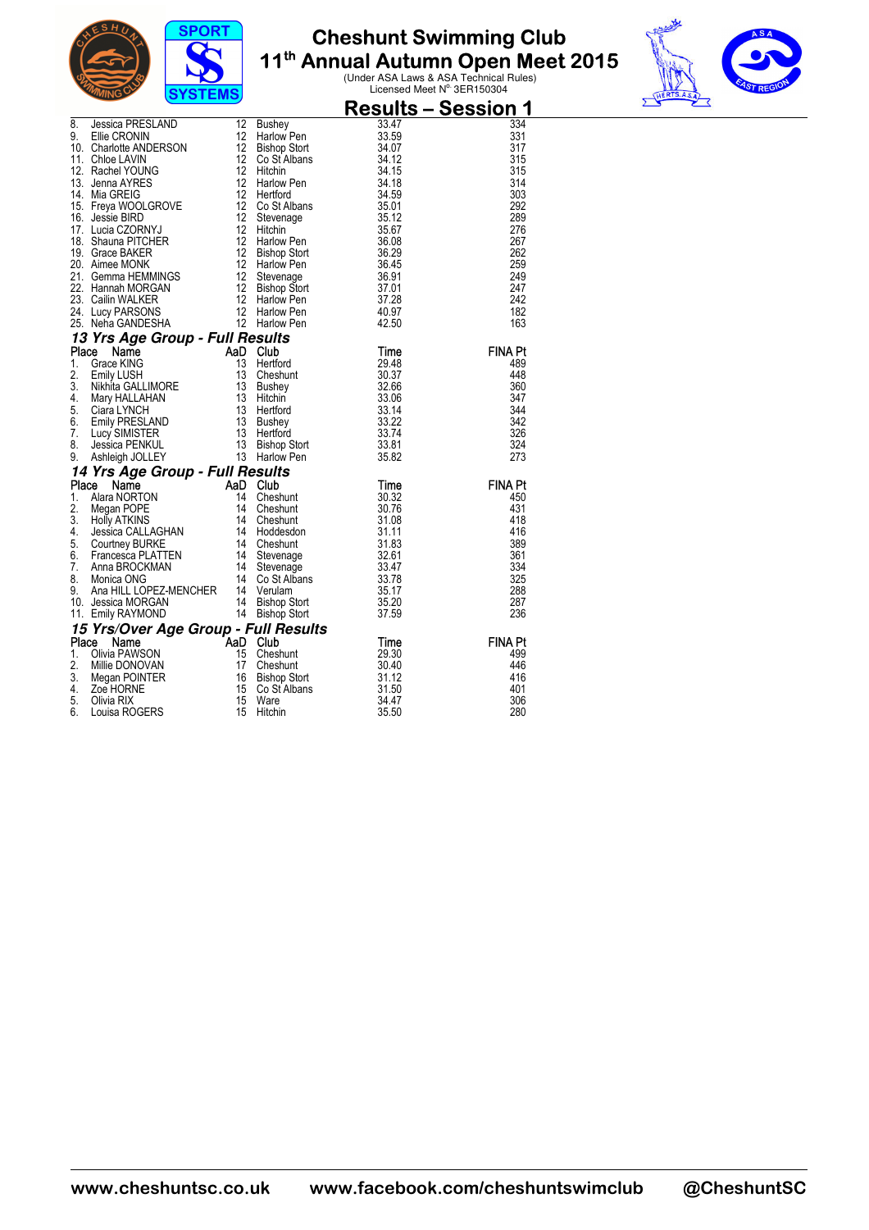



| <b>Result</b><br>8. Jessica PRESLAND 12 Bushey<br>9. Ellie CRONIN<br>12 Harlow Pen<br>12 Harlow Pen<br>12 Gibson Stort<br>12 Gibson Stort<br>12 Gibson Stort<br>12 Gibson Stort<br>12 Harlow Pen<br>12 Hitchin<br>12 Harlow Pen<br>14. Mia GREIG<br>12 Harlow                                 | <u> Results – Session 1</u> |
|-----------------------------------------------------------------------------------------------------------------------------------------------------------------------------------------------------------------------------------------------------------------------------------------------|-----------------------------|
|                                                                                                                                                                                                                                                                                               | 334                         |
|                                                                                                                                                                                                                                                                                               | 331                         |
|                                                                                                                                                                                                                                                                                               | 317                         |
|                                                                                                                                                                                                                                                                                               | 315                         |
|                                                                                                                                                                                                                                                                                               | 315                         |
|                                                                                                                                                                                                                                                                                               | 314                         |
|                                                                                                                                                                                                                                                                                               | 303                         |
|                                                                                                                                                                                                                                                                                               | 292                         |
|                                                                                                                                                                                                                                                                                               | 289<br>276                  |
|                                                                                                                                                                                                                                                                                               | 267                         |
|                                                                                                                                                                                                                                                                                               | 262                         |
|                                                                                                                                                                                                                                                                                               | 259                         |
|                                                                                                                                                                                                                                                                                               | 249                         |
|                                                                                                                                                                                                                                                                                               | 247                         |
|                                                                                                                                                                                                                                                                                               | 242                         |
|                                                                                                                                                                                                                                                                                               | 182                         |
|                                                                                                                                                                                                                                                                                               | 163                         |
| 13 Yrs Age Group - Full Results                                                                                                                                                                                                                                                               |                             |
| Place                                                                                                                                                                                                                                                                                         | <b>FINA Pt</b>              |
| 1.                                                                                                                                                                                                                                                                                            | 489                         |
| 2.                                                                                                                                                                                                                                                                                            | 448                         |
| 3.                                                                                                                                                                                                                                                                                            | 360                         |
| 4.                                                                                                                                                                                                                                                                                            | 347                         |
| 5.                                                                                                                                                                                                                                                                                            | 344                         |
| 6.                                                                                                                                                                                                                                                                                            | 342                         |
| 7.                                                                                                                                                                                                                                                                                            | 326                         |
| 8.                                                                                                                                                                                                                                                                                            | 324<br>273                  |
| Compare Control of Time<br>Compare Control of Time<br>Compare Control of Time<br>Compare Control of Time<br>Ciara LYNCH<br>Ciara LYNCH<br>Ciara LYNCH<br>Ciara LYNCH<br>Ciara LYNCH<br>Ciara LYNCH<br>Ciara LYNCH<br>Ciara LYNCH<br>Ciara LYNCH<br>Ciara<br>9.                                |                             |
| 14 Yrs Age Group - Full Results<br><b>Yrs Age Group - Full Results</b><br>Ce Name MoRTON<br>Alara NORTON 14 Cheshunt 30.32<br>Alegan POPE 14 Cheshunt 30.76<br>Holly ATKINS 14 Cheshunt 31.08<br>Jessica CALLAGHAN 14 Hoddesdon 31.11<br>Courtney BURKE 14 Cheshunt 31.83<br>Courtne<br>Place | <b>FINA Pt</b>              |
| 1.                                                                                                                                                                                                                                                                                            | 450                         |
| 2.                                                                                                                                                                                                                                                                                            | 431                         |
| 3.                                                                                                                                                                                                                                                                                            | 418                         |
| 4.                                                                                                                                                                                                                                                                                            | 416                         |
| 5.                                                                                                                                                                                                                                                                                            | 389                         |
| 6.                                                                                                                                                                                                                                                                                            | 361                         |
| 7.                                                                                                                                                                                                                                                                                            | 334                         |
| 8.                                                                                                                                                                                                                                                                                            | 325                         |
| 9.                                                                                                                                                                                                                                                                                            | 288                         |
| 10. Jessica MORGAN                                                                                                                                                                                                                                                                            | 287                         |
| 11. Emily RAYMOND                                                                                                                                                                                                                                                                             | 236                         |
| 15 <b>Yrs/Over Age Group - Full Results</b><br><b>15 Yrs/Over Age Group - Full Results</b><br><b>1.</b> Olivia PAWSON<br>1. Olivia PAWSON<br>1. Olivia PAWSON<br>1. Olivia POINTER<br>1. Olivia POINTER<br>1. Zoe HORNE<br>1. Zoe HORNE<br>1. Olivia RIX<br>1. Th                             |                             |
|                                                                                                                                                                                                                                                                                               | <b>FINA Pt</b>              |
|                                                                                                                                                                                                                                                                                               | 499                         |
|                                                                                                                                                                                                                                                                                               | 446                         |
|                                                                                                                                                                                                                                                                                               | 416<br>401                  |
|                                                                                                                                                                                                                                                                                               | 306                         |
|                                                                                                                                                                                                                                                                                               |                             |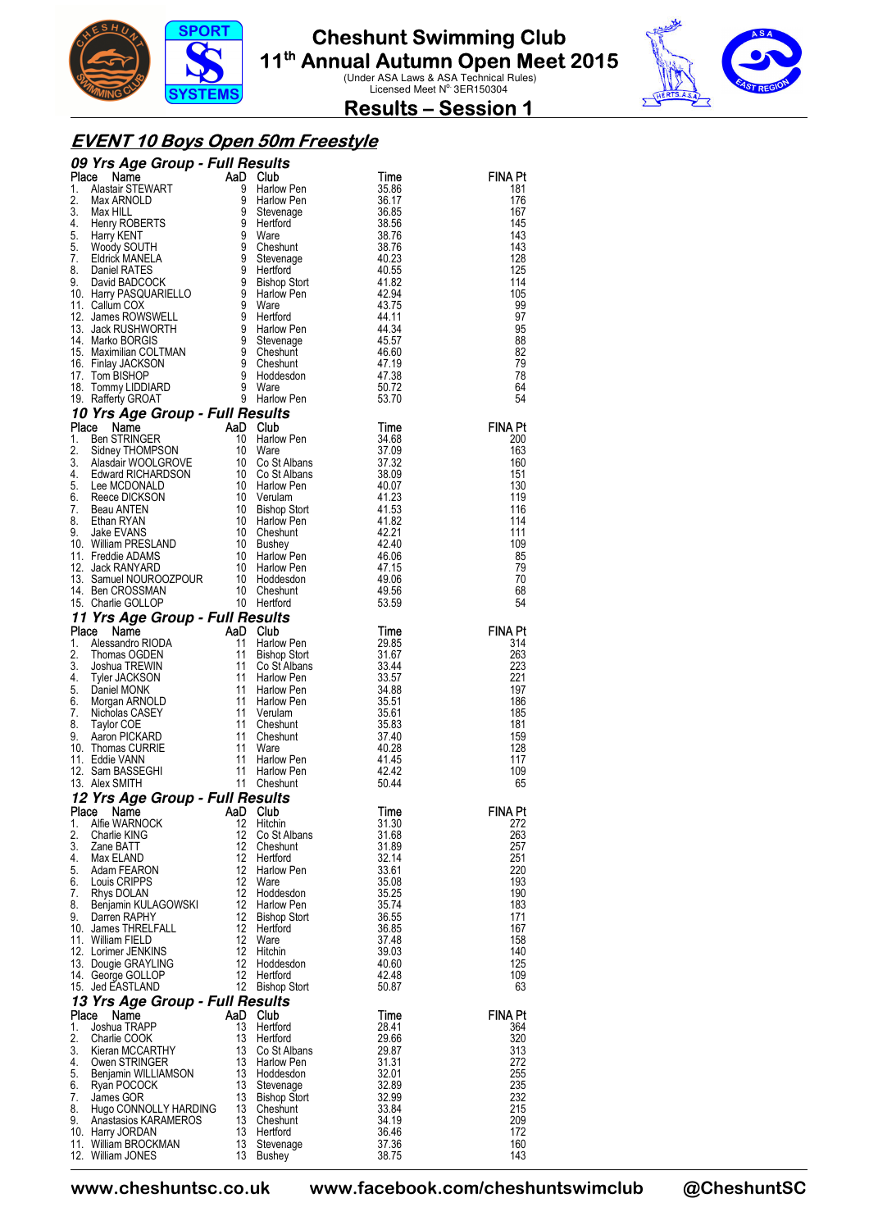



**Results – Session 1** 

#### **EVENT 10 Boys Open 50m Freestyle**

|    |                                                                                                                                                                                                                                                                                                                                                                                                                                                                                                              |          |                                  |                | <b>FINA Pt</b> |
|----|--------------------------------------------------------------------------------------------------------------------------------------------------------------------------------------------------------------------------------------------------------------------------------------------------------------------------------------------------------------------------------------------------------------------------------------------------------------------------------------------------------------|----------|----------------------------------|----------------|----------------|
|    |                                                                                                                                                                                                                                                                                                                                                                                                                                                                                                              |          |                                  |                | 181<br>176     |
|    |                                                                                                                                                                                                                                                                                                                                                                                                                                                                                                              |          |                                  |                | 167            |
|    |                                                                                                                                                                                                                                                                                                                                                                                                                                                                                                              |          |                                  |                | 145            |
|    |                                                                                                                                                                                                                                                                                                                                                                                                                                                                                                              |          |                                  |                | 143            |
|    |                                                                                                                                                                                                                                                                                                                                                                                                                                                                                                              |          |                                  |                | 143<br>128     |
|    |                                                                                                                                                                                                                                                                                                                                                                                                                                                                                                              |          |                                  |                | 125            |
|    |                                                                                                                                                                                                                                                                                                                                                                                                                                                                                                              |          |                                  |                | 114            |
|    |                                                                                                                                                                                                                                                                                                                                                                                                                                                                                                              |          |                                  |                | 105            |
|    |                                                                                                                                                                                                                                                                                                                                                                                                                                                                                                              |          |                                  |                | 99             |
|    |                                                                                                                                                                                                                                                                                                                                                                                                                                                                                                              |          |                                  |                | 97<br>95       |
|    |                                                                                                                                                                                                                                                                                                                                                                                                                                                                                                              |          |                                  |                | 88             |
|    |                                                                                                                                                                                                                                                                                                                                                                                                                                                                                                              |          |                                  |                | 82             |
|    |                                                                                                                                                                                                                                                                                                                                                                                                                                                                                                              |          |                                  |                | 79             |
|    |                                                                                                                                                                                                                                                                                                                                                                                                                                                                                                              |          |                                  |                | 78<br>64       |
|    |                                                                                                                                                                                                                                                                                                                                                                                                                                                                                                              |          |                                  |                | 54             |
|    | <b>O9 Yrs Age Group - Full Results<br/> 1. Alastar STEWART 4D Club<br/> 2. Max HILL 9 Harlow Pen 35.86<br/> 2. Max HILL 9 Harlow Pen 36.87<br/> 3. Max HILL 9 Stevenage 36.85<br/> 4. Henry ROBERTS 9 Hertford 38.567<br/> 5. Woody SOUTH 9 Cheshunt 38.</b><br>16. Iommy LIDDIARD 9 Ware<br>19. Rafferty GROAT 9 Harlow Pen<br>10 Yrs Age Group - Full Results<br>10 Yrs Age Group - Full Results<br>1. Ben STRINGER And Club<br>1. Ben STRINGER 10 Ware<br>3. Slates WOOLGROVE 10 Co St Albans 37.32<br>4. |          |                                  |                |                |
|    |                                                                                                                                                                                                                                                                                                                                                                                                                                                                                                              |          |                                  |                | <b>FINA Pt</b> |
|    |                                                                                                                                                                                                                                                                                                                                                                                                                                                                                                              |          |                                  |                | 200            |
|    |                                                                                                                                                                                                                                                                                                                                                                                                                                                                                                              |          |                                  |                | 163<br>160     |
|    |                                                                                                                                                                                                                                                                                                                                                                                                                                                                                                              |          |                                  |                | 151            |
|    |                                                                                                                                                                                                                                                                                                                                                                                                                                                                                                              |          |                                  |                | 130            |
|    |                                                                                                                                                                                                                                                                                                                                                                                                                                                                                                              |          |                                  |                | 119            |
|    |                                                                                                                                                                                                                                                                                                                                                                                                                                                                                                              |          |                                  |                | 116<br>114     |
|    |                                                                                                                                                                                                                                                                                                                                                                                                                                                                                                              |          |                                  |                | 111            |
|    |                                                                                                                                                                                                                                                                                                                                                                                                                                                                                                              |          |                                  |                | 109            |
|    |                                                                                                                                                                                                                                                                                                                                                                                                                                                                                                              |          |                                  |                | 85             |
|    |                                                                                                                                                                                                                                                                                                                                                                                                                                                                                                              |          |                                  |                | 79             |
|    |                                                                                                                                                                                                                                                                                                                                                                                                                                                                                                              |          |                                  |                | 70<br>68       |
|    |                                                                                                                                                                                                                                                                                                                                                                                                                                                                                                              |          |                                  |                | 54             |
|    |                                                                                                                                                                                                                                                                                                                                                                                                                                                                                                              |          |                                  |                |                |
|    |                                                                                                                                                                                                                                                                                                                                                                                                                                                                                                              |          |                                  |                | <b>FINA Pt</b> |
|    |                                                                                                                                                                                                                                                                                                                                                                                                                                                                                                              |          |                                  |                | 314            |
|    |                                                                                                                                                                                                                                                                                                                                                                                                                                                                                                              |          |                                  |                | 263<br>223     |
|    |                                                                                                                                                                                                                                                                                                                                                                                                                                                                                                              |          |                                  |                | 221            |
|    |                                                                                                                                                                                                                                                                                                                                                                                                                                                                                                              |          |                                  |                | 197            |
|    |                                                                                                                                                                                                                                                                                                                                                                                                                                                                                                              |          |                                  |                | 186            |
|    |                                                                                                                                                                                                                                                                                                                                                                                                                                                                                                              |          |                                  |                | 185<br>181     |
|    |                                                                                                                                                                                                                                                                                                                                                                                                                                                                                                              |          |                                  |                | 159            |
|    |                                                                                                                                                                                                                                                                                                                                                                                                                                                                                                              |          |                                  |                | 128            |
|    |                                                                                                                                                                                                                                                                                                                                                                                                                                                                                                              |          |                                  |                | 117            |
|    |                                                                                                                                                                                                                                                                                                                                                                                                                                                                                                              |          |                                  |                | 109<br>65      |
|    |                                                                                                                                                                                                                                                                                                                                                                                                                                                                                                              |          |                                  |                |                |
|    | 12 Yrs Age Group - Full Results<br>Place Name Manne AaD Club                                                                                                                                                                                                                                                                                                                                                                                                                                                 |          |                                  | Time           | <b>FINA Pt</b> |
| 1. | Alfie WARNOCK                                                                                                                                                                                                                                                                                                                                                                                                                                                                                                | 12       | Hitchin                          | 31.30          | 272            |
| 2. | Charlie KING                                                                                                                                                                                                                                                                                                                                                                                                                                                                                                 | 12<br>12 | Co St Albans                     | 31.68          | 263<br>257     |
|    | 3. Zane BATT<br>4. Max ELAND                                                                                                                                                                                                                                                                                                                                                                                                                                                                                 |          | Cheshunt<br>12 Hertford          | 31.89<br>32.14 | 251            |
| 5. | Adam FEARON                                                                                                                                                                                                                                                                                                                                                                                                                                                                                                  |          | 12 Harlow Pen                    | 33.61          | 220            |
|    | 6. Louis CRIPPS                                                                                                                                                                                                                                                                                                                                                                                                                                                                                              |          | 12 Ware                          | 35.08          | 193            |
| 7. | Rhys DOLAN<br>8. Benjamin KULAGOWSKI                                                                                                                                                                                                                                                                                                                                                                                                                                                                         |          | 12 Hoddesdon                     | 35.25<br>35.74 | 190<br>183     |
|    | 9. Darren RAPHY                                                                                                                                                                                                                                                                                                                                                                                                                                                                                              |          | 12 Harlow Pen<br>12 Bishop Stort | 36.55          | 171            |
|    | 10. James THRELFALL                                                                                                                                                                                                                                                                                                                                                                                                                                                                                          |          | 12 Hertford<br>12 Ware           | 36.85          | 167            |
|    | 11. William FIELD                                                                                                                                                                                                                                                                                                                                                                                                                                                                                            |          |                                  | 37.48          | 158            |
|    | 12. Lorimer JENKINS<br>13. Dougie GRAYLING                                                                                                                                                                                                                                                                                                                                                                                                                                                                   |          | 12 Hitchin<br>12 Hoddesdon       | 39.03<br>40.60 | 140<br>125     |
|    | 14. George GOLLOP                                                                                                                                                                                                                                                                                                                                                                                                                                                                                            |          | 12 Hertford                      | 42.48          | 109            |
|    | 15. Jed EASTLAND                                                                                                                                                                                                                                                                                                                                                                                                                                                                                             |          | 12 Bishop Stort                  | 50.87          | 63             |
|    | 13 Yrs Age Group - Full Results                                                                                                                                                                                                                                                                                                                                                                                                                                                                              |          |                                  |                |                |
|    | Place Name                                                                                                                                                                                                                                                                                                                                                                                                                                                                                                   | AaD Club |                                  | Time           | <b>FINA Pt</b> |
| 1. | Joshua TRAPP                                                                                                                                                                                                                                                                                                                                                                                                                                                                                                 | 13       | Hertford                         | 28.41<br>29.66 | 364<br>320     |
|    |                                                                                                                                                                                                                                                                                                                                                                                                                                                                                                              |          |                                  | 29.87          | 313            |
|    |                                                                                                                                                                                                                                                                                                                                                                                                                                                                                                              |          |                                  | 31.31          | 272            |
|    |                                                                                                                                                                                                                                                                                                                                                                                                                                                                                                              |          |                                  | 32.01          | 255            |
|    |                                                                                                                                                                                                                                                                                                                                                                                                                                                                                                              |          |                                  | 32.89<br>32.99 | 235<br>232     |
|    |                                                                                                                                                                                                                                                                                                                                                                                                                                                                                                              |          |                                  | 33.84          | 215            |
|    |                                                                                                                                                                                                                                                                                                                                                                                                                                                                                                              |          |                                  | 34.19          | 209            |
|    |                                                                                                                                                                                                                                                                                                                                                                                                                                                                                                              |          |                                  | 36.46          | 172            |
|    | 1. Joshua Horos (1990)<br>2. Charlie COOK<br>3. Kieran MCCARTHY<br>4. Owen STRINGER<br>5. Benjamin WILLIAMSON<br>5. Benjamin WILLIAMSON<br>13 Hoddesdon<br>7. James GOR<br>7. James GOR<br>7. James GOR<br>8. Hugo CONNOLLY HARDING<br>13 Cheshunt<br><br>12. William JONES                                                                                                                                                                                                                                  |          | 13 Bushey                        | 37.36<br>38.75 | 160<br>143     |
|    |                                                                                                                                                                                                                                                                                                                                                                                                                                                                                                              |          |                                  |                |                |

**www.cheshuntsc.co.uk www.facebook.com/cheshuntswimclub @CheshuntSC**